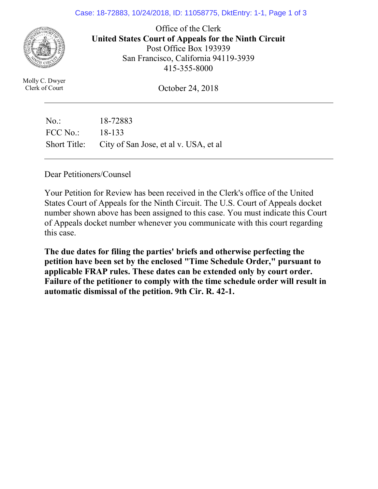### Case: 18-72883, 10/24/2018, ID: 11058775, DktEntry: 1-1, Page 1 of 3



Office of the Clerk **United States Court of Appeals for the Ninth Circuit**  Post Office Box 193939 San Francisco, California 94119-3939 415-355-8000

Molly C. Dwyer Clerk of Court

October 24, 2018

No.: 18-72883 FCC No.: 18-133 Short Title: City of San Jose, et al v. USA, et al

Dear Petitioners/Counsel

Your Petition for Review has been received in the Clerk's office of the United States Court of Appeals for the Ninth Circuit. The U.S. Court of Appeals docket number shown above has been assigned to this case. You must indicate this Court of Appeals docket number whenever you communicate with this court regarding this case.

**The due dates for filing the parties' briefs and otherwise perfecting the petition have been set by the enclosed "Time Schedule Order," pursuant to applicable FRAP rules. These dates can be extended only by court order. Failure of the petitioner to comply with the time schedule order will result in automatic dismissal of the petition. 9th Cir. R. 42-1.**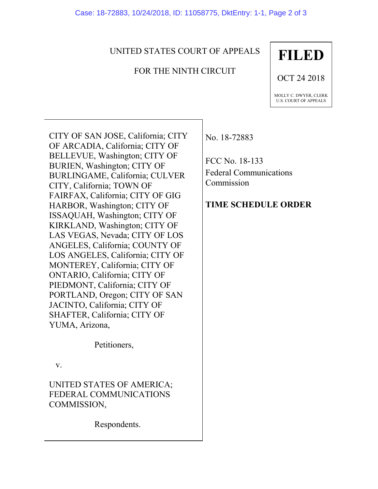# UNITED STATES COURT OF APPEALS

# FOR THE NINTH CIRCUIT

# **FILED**

OCT 24 2018

MOLLY C. DWYER, CLERK U.S. COURT OF APPEALS

CITY OF SAN JOSE, California; CITY OF ARCADIA, California; CITY OF BELLEVUE, Washington; CITY OF BURIEN, Washington; CITY OF BURLINGAME, California; CULVER CITY, California; TOWN OF FAIRFAX, California; CITY OF GIG HARBOR, Washington; CITY OF ISSAQUAH, Washington; CITY OF KIRKLAND, Washington; CITY OF LAS VEGAS, Nevada; CITY OF LOS ANGELES, California; COUNTY OF LOS ANGELES, California; CITY OF MONTEREY, California; CITY OF ONTARIO, California; CITY OF PIEDMONT, California; CITY OF PORTLAND, Oregon; CITY OF SAN JACINTO, California; CITY OF SHAFTER, California; CITY OF YUMA, Arizona,

Petitioners,

v.

UNITED STATES OF AMERICA; FEDERAL COMMUNICATIONS COMMISSION,

Respondents.

No. 18-72883

FCC No. 18-133 Federal Communications Commission

# **TIME SCHEDULE ORDER**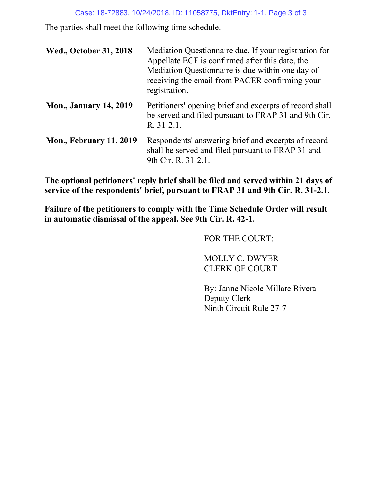### Case: 18-72883, 10/24/2018, ID: 11058775, DktEntry: 1-1, Page 3 of 3

The parties shall meet the following time schedule.

| <b>Wed., October 31, 2018</b>  | Mediation Questionnaire due. If your registration for<br>Appellate ECF is confirmed after this date, the<br>Mediation Questionnaire is due within one day of<br>receiving the email from PACER confirming your<br>registration. |  |
|--------------------------------|---------------------------------------------------------------------------------------------------------------------------------------------------------------------------------------------------------------------------------|--|
| <b>Mon., January 14, 2019</b>  | Petitioners' opening brief and excerpts of record shall<br>be served and filed pursuant to FRAP 31 and 9th Cir.<br>$R. 31-2.1.$                                                                                                 |  |
| <b>Mon., February 11, 2019</b> | Respondents' answering brief and excerpts of record<br>shall be served and filed pursuant to FRAP 31 and<br>9th Cir. R. 31-2.1.                                                                                                 |  |

**The optional petitioners' reply brief shall be filed and served within 21 days of service of the respondents' brief, pursuant to FRAP 31 and 9th Cir. R. 31-2.1.**

**Failure of the petitioners to comply with the Time Schedule Order will result in automatic dismissal of the appeal. See 9th Cir. R. 42-1.** 

FOR THE COURT:

MOLLY C. DWYER CLERK OF COURT

By: Janne Nicole Millare Rivera Deputy Clerk Ninth Circuit Rule 27-7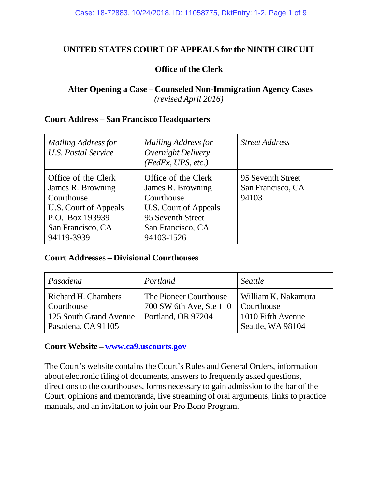# **UNITED STATES COURT OF APPEALS for the NINTH CIRCUIT**

# **Office of the Clerk**

# **After Opening a Case – Counseled Non-Immigration Agency Cases** *(revised April 2016)*

### **Court Address – San Francisco Headquarters**

| <b>Mailing Address for</b><br>U.S. Postal Service                                                                                     | <b>Mailing Address for</b><br>Overnight Delivery<br>(FedEx, UPS, etc.)                                                                  | <b>Street Address</b>                           |
|---------------------------------------------------------------------------------------------------------------------------------------|-----------------------------------------------------------------------------------------------------------------------------------------|-------------------------------------------------|
| Office of the Clerk<br>James R. Browning<br>Courthouse<br>U.S. Court of Appeals<br>P.O. Box 193939<br>San Francisco, CA<br>94119-3939 | Office of the Clerk<br>James R. Browning<br>Courthouse<br>U.S. Court of Appeals<br>95 Seventh Street<br>San Francisco, CA<br>94103-1526 | 95 Seventh Street<br>San Francisco, CA<br>94103 |

### **Court Addresses – Divisional Courthouses**

| Pasadena                                                                                 | Portland                                                                             | Seattle                                                       |
|------------------------------------------------------------------------------------------|--------------------------------------------------------------------------------------|---------------------------------------------------------------|
| Richard H. Chambers<br><b>Courthouse</b><br>125 South Grand Avenue<br>Pasadena, CA 91105 | The Pioneer Courthouse<br>700 SW 6th Ave, Ste 110   Courthouse<br>Portland, OR 97204 | William K. Nakamura<br>1010 Fifth Avenue<br>Seattle, WA 98104 |

# **Court Website – [www.ca9.uscourts.gov](http://www.ca9.uscourts.gov/)**

The Court's website contains the Court's Rules and General Orders, information about electronic filing of documents, answers to frequently asked questions, directions to the courthouses, forms necessary to gain admission to the bar of the Court, opinions and memoranda, live streaming of oral arguments, links to practice manuals, and an invitation to join our Pro Bono Program.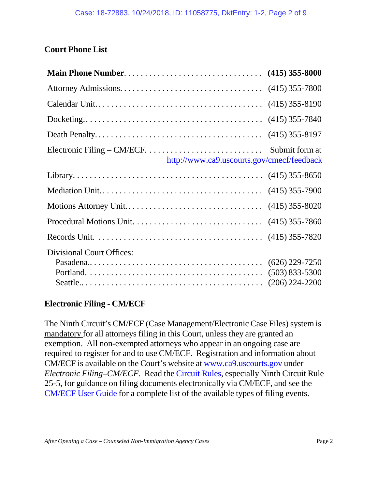# **Court Phone List**

| Electronic Filing – CM/ECF. $\dots \dots \dots \dots \dots \dots \dots \dots$ . Submit form at<br>http://www.ca9.uscourts.gov/cmecf/feedback |                    |
|----------------------------------------------------------------------------------------------------------------------------------------------|--------------------|
|                                                                                                                                              |                    |
|                                                                                                                                              |                    |
|                                                                                                                                              |                    |
|                                                                                                                                              |                    |
|                                                                                                                                              |                    |
| <b>Divisional Court Offices:</b>                                                                                                             |                    |
|                                                                                                                                              | $(626)$ 229-7250   |
|                                                                                                                                              | $(503) 833 - 5300$ |
|                                                                                                                                              |                    |

# **Electronic Filing - CM/ECF**

The Ninth Circuit's CM/ECF (Case Management/Electronic Case Files) system is mandatory for all attorneys filing in this Court, unless they are granted an exemption. All non-exempted attorneys who appear in an ongoing case are required to register for and to use CM/ECF. Registration and information about CM/ECF is available on the Court's website at [www.ca9.uscourts.gov](http://www.ca9.uscourts.gov/cmecf/view.php?pk_id=0000000098&section-registration) under *Electronic Filing–CM/ECF.* Read the [Circuit](http://www.ca9.uscourts.gov/rules/) Rules, especially Ninth Circuit Rule 25-5, for guidance on filing documents electronically via CM/ECF, and see the [CM/ECF](http://cdn.ca9.uscourts.gov/datastore/uploads/cmecf/ecf-user-guide.pdf) User Guide for a complete list of the available types of filing events.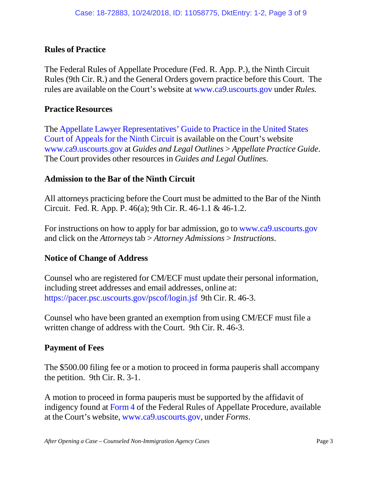# **Rules of Practice**

The Federal Rules of Appellate Procedure (Fed. R. App. P.), the Ninth Circuit Rules (9th Cir. R.) and the General Orders govern practice before this Court. The rules are available on the Court's website at [www.ca9.uscourts.gov](http://www.ca9.uscourts.gov/) under *Rules.*

### **Practice Resources**

The Appellate Lawyer [Representatives'](http://www.ca9.uscourts.gov/content/view.php?pk_id=0000000858) Guide to Practice in the United States Court of [Appeals](http://cdn.ca9.uscourts.gov/datastore/general/2014/08/29/Final_2014_ALR_Practice_Guide_82514.pdf) for the Ninth Circuit is available on the Court's website [www.ca9.uscourts.gov](http://www.ca9.uscourts.gov/) at *Guides and Legal Outlines* > *Appellate Practice Guide*. The Court provides other resources in *Guides and Legal Outlines*.

# **Admission to the Bar of the Ninth Circuit**

All attorneys practicing before the Court must be admitted to the Bar of the Ninth Circuit. Fed. R. App. P. 46(a); 9th Cir. R. 46-1.1 & 46-1.2.

For instructions on how to apply for bar admission, go to [www.ca9.uscourts.gov](http://www.ca9.uscourts.gov/) and click on the *Attorneys* tab > *Attorney Admissions* > *Instructions*.

# **Notice of Change of Address**

Counsel who are registered for CM/ECF must update their personal information, including street addresses and email addresses, online at: <https://pacer.psc.uscourts.gov/pscof/login.jsf> 9th Cir. R. 46-3.

Counsel who have been granted an exemption from using CM/ECF must file a written change of address with the Court. 9th Cir. R. 46-3.

# **Payment of Fees**

The \$500.00 filing fee or a motion to proceed in forma pauperis shall accompany the petition. 9th Cir. R. 3-1.

A motion to proceed in forma pauperis must be supported by the affidavit of indigency found at [Form](http://cdn.ca9.uscourts.gov/datastore/uploads/forms/Form4-IFP-Affidavit.pdf) 4 of the Federal Rules of Appellate Procedure, available at the Court's website, [www.ca9.uscourts.gov,](http://www.ca9.uscourts.gov/) under *Forms*.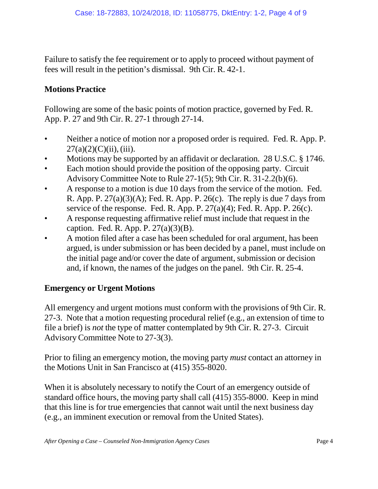Failure to satisfy the fee requirement or to apply to proceed without payment of fees will result in the petition's dismissal. 9th Cir. R. 42-1.

# **Motions Practice**

Following are some of the basic points of motion practice, governed by Fed. R. App. P. 27 and 9th Cir. R. 27-1 through 27-14.

- Neither a notice of motion nor a proposed order is required. Fed. R. App. P.  $27(a)(2)(C)(ii)$ , (iii).
- Motions may be supported by an affidavit or declaration. 28 U.S.C. § 1746.
- Each motion should provide the position of the opposing party. Circuit Advisory Committee Note to Rule 27-1(5); 9th Cir. R. 31-2.2(b)(6).
- A response to a motion is due 10 days from the service of the motion. Fed. R. App. P.  $27(a)(3)(A)$ ; Fed. R. App. P.  $26(c)$ . The reply is due 7 days from service of the response. Fed. R. App. P.  $27(a)(4)$ ; Fed. R. App. P.  $26(c)$ .
- A response requesting affirmative relief must include that request in the caption. Fed. R. App. P.  $27(a)(3)(B)$ .
- A motion filed after a case has been scheduled for oral argument, has been argued, is under submission or has been decided by a panel, must include on the initial page and/or cover the date of argument, submission or decision and, if known, the names of the judges on the panel. 9th Cir. R. 25-4.

# **Emergency or Urgent Motions**

All emergency and urgent motions must conform with the provisions of 9th Cir. R. 27-3. Note that a motion requesting procedural relief (e.g., an extension of time to file a brief) is *not* the type of matter contemplated by 9th Cir. R. 27-3. Circuit Advisory Committee Note to 27-3(3).

Prior to filing an emergency motion, the moving party *must* contact an attorney in the Motions Unit in San Francisco at (415) 355-8020.

When it is absolutely necessary to notify the Court of an emergency outside of standard office hours, the moving party shall call (415) 355-8000. Keep in mind that this line is for true emergencies that cannot wait until the next business day (e.g., an imminent execution or removal from the United States).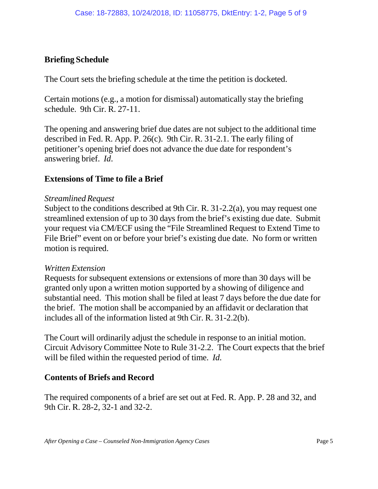# **Briefing Schedule**

The Court sets the briefing schedule at the time the petition is docketed.

Certain motions (e.g., a motion for dismissal) automatically stay the briefing schedule. 9th Cir. R. 27-11.

The opening and answering brief due dates are not subject to the additional time described in Fed. R. App. P. 26(c). 9th Cir. R. 31-2.1. The early filing of petitioner's opening brief does not advance the due date for respondent's answering brief. *Id*.

# **Extensions of Time to file a Brief**

### *Streamlined Request*

Subject to the conditions described at 9th Cir. R. 31-2.2(a), you may request one streamlined extension of up to 30 days from the brief's existing due date. Submit your request via CM/ECF using the "File Streamlined Request to Extend Time to File Brief" event on or before your brief's existing due date. No form or written motion is required.

# *Written Extension*

Requests for subsequent extensions or extensions of more than 30 days will be granted only upon a written motion supported by a showing of diligence and substantial need. This motion shall be filed at least 7 days before the due date for the brief. The motion shall be accompanied by an affidavit or declaration that includes all of the information listed at 9th Cir. R. 31-2.2(b).

The Court will ordinarily adjust the schedule in response to an initial motion. Circuit Advisory Committee Note to Rule 31-2.2. The Court expects that the brief will be filed within the requested period of time. *Id.*

# **Contents of Briefs and Record**

The required components of a brief are set out at Fed. R. App. P. 28 and 32, and 9th Cir. R. 28-2, 32-1 and 32-2.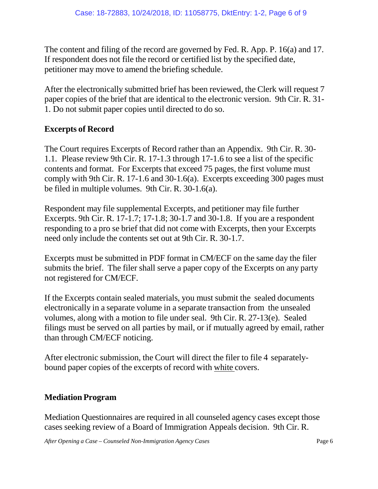The content and filing of the record are governed by Fed. R. App. P. 16(a) and 17. If respondent does not file the record or certified list by the specified date, petitioner may move to amend the briefing schedule.

After the electronically submitted brief has been reviewed, the Clerk will request 7 paper copies of the brief that are identical to the electronic version. 9th Cir. R. 31- 1. Do not submit paper copies until directed to do so.

# **Excerpts of Record**

The Court requires Excerpts of Record rather than an Appendix. 9th Cir. R. 30- 1.1. Please review 9th Cir. R. 17-1.3 through 17-1.6 to see a list of the specific contents and format. For Excerpts that exceed 75 pages, the first volume must comply with 9th Cir. R. 17-1.6 and 30-1.6(a). Excerpts exceeding 300 pages must be filed in multiple volumes. 9th Cir. R. 30-1.6(a).

Respondent may file supplemental Excerpts, and petitioner may file further Excerpts. 9th Cir. R. 17-1.7; 17-1.8; 30-1.7 and 30-1.8. If you are a respondent responding to a pro se brief that did not come with Excerpts, then your Excerpts need only include the contents set out at 9th Cir. R. 30-1.7.

Excerpts must be submitted in PDF format in CM/ECF on the same day the filer submits the brief. The filer shall serve a paper copy of the Excerpts on any party not registered for CM/ECF.

If the Excerpts contain sealed materials, you must submit the sealed documents electronically in a separate volume in a separate transaction from the unsealed volumes, along with a motion to file under seal. 9th Cir. R. 27-13(e). Sealed filings must be served on all parties by mail, or if mutually agreed by email, rather than through CM/ECF noticing.

After electronic submission, the Court will direct the filer to file 4 separatelybound paper copies of the excerpts of record with white covers.

# **Mediation Program**

Mediation Questionnaires are required in all counseled agency cases except those cases seeking review of a Board of Immigration Appeals decision. 9th Cir. R.

*After Opening a Case – Counseled Non-Immigration Agency Cases* Page 6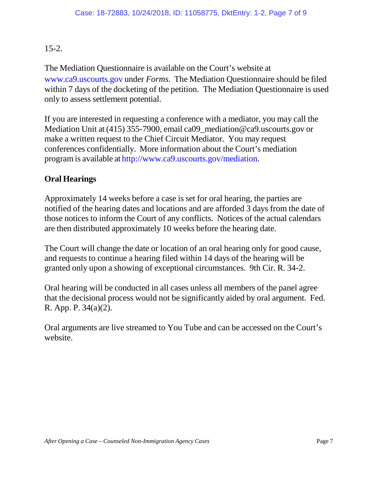# 15-2.

The Mediation Questionnaire is available on the Court's website at [www.ca9.uscourts.gov](http://www.ca9.uscourts.gov/) under *Forms.* The Mediation Questionnaire should be filed within 7 days of the docketing of the petition. The Mediation Questionnaire is used only to assess settlement potential.

If you are interested in requesting a conference with a mediator, you may call the Mediation Unit at (415) 355-7900, email [ca09\\_mediation@ca9.uscourts.gov](mailto:ca09_mediation@ca9.uscourts.gov) or make a written request to the Chief Circuit Mediator. You may request conferences confidentially. More information about the Court's mediation programis available at [http://www.ca9.uscourts.gov/mediation.](http://www.ca9.uscourts.gov/mediation)

# **Oral Hearings**

Approximately 14 weeks before a case is set for oral hearing, the parties are notified of the hearing dates and locations and are afforded 3 days from the date of those notices to inform the Court of any conflicts. Notices of the actual calendars are then distributed approximately 10 weeks before the hearing date.

The Court will change the date or location of an oral hearing only for good cause, and requests to continue a hearing filed within 14 days of the hearing will be granted only upon a showing of exceptional circumstances. 9th Cir. R. 34-2.

Oral hearing will be conducted in all cases unless all members of the panel agree that the decisional process would not be significantly aided by oral argument. Fed. R. App. P. 34(a)(2).

Oral arguments are live streamed to You Tube and can be accessed on the Court's website.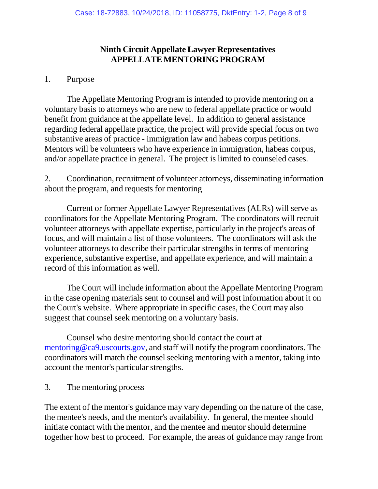# **Ninth Circuit Appellate Lawyer Representatives APPELLATEMENTORINGPROGRAM**

### 1. Purpose

The Appellate Mentoring Program is intended to provide mentoring on a voluntary basis to attorneys who are new to federal appellate practice or would benefit from guidance at the appellate level. In addition to general assistance regarding federal appellate practice, the project will provide special focus on two substantive areas of practice - immigration law and habeas corpus petitions. Mentors will be volunteers who have experience in immigration, habeas corpus, and/or appellate practice in general. The project is limited to counseled cases.

2. Coordination, recruitment of volunteer attorneys, disseminating information about the program, and requests for mentoring

Current or former Appellate Lawyer Representatives (ALRs) will serve as coordinators for the Appellate Mentoring Program. The coordinators will recruit volunteer attorneys with appellate expertise, particularly in the project's areas of focus, and will maintain a list of those volunteers. The coordinators will ask the volunteer attorneys to describe their particular strengths in terms of mentoring experience, substantive expertise, and appellate experience, and will maintain a record of this information as well.

The Court will include information about the Appellate Mentoring Program in the case opening materials sent to counsel and will post information about it on the Court's website. Where appropriate in specific cases, the Court may also suggest that counsel seek mentoring on a voluntary basis.

Counsel who desire mentoring should contact the court at [mentoring@ca9.uscourts.gov,](mailto:mentoring@ca9.uscourts.gov) and staff will notify the program coordinators. The coordinators will match the counsel seeking mentoring with a mentor, taking into account the mentor's particular strengths.

3. The mentoring process

The extent of the mentor's guidance may vary depending on the nature of the case, the mentee's needs, and the mentor's availability. In general, the mentee should initiate contact with the mentor, and the mentee and mentor should determine together how best to proceed. For example, the areas of guidance may range from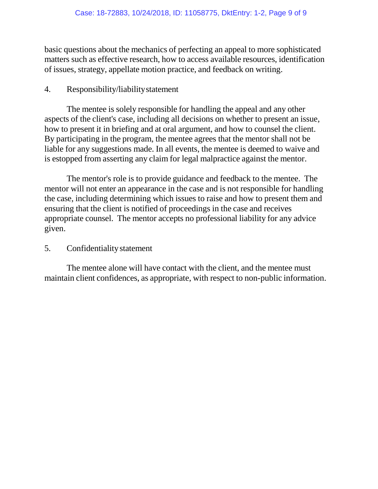basic questions about the mechanics of perfecting an appeal to more sophisticated matters such as effective research, how to access available resources, identification of issues, strategy, appellate motion practice, and feedback on writing.

# 4. Responsibility/liabilitystatement

The mentee is solely responsible for handling the appeal and any other aspects of the client's case, including all decisions on whether to present an issue, how to present it in briefing and at oral argument, and how to counsel the client. By participating in the program, the mentee agrees that the mentor shall not be liable for any suggestions made. In all events, the mentee is deemed to waive and is estopped from asserting any claim for legal malpractice against the mentor.

The mentor's role is to provide guidance and feedback to the mentee. The mentor will not enter an appearance in the case and is not responsible for handling the case, including determining which issues to raise and how to present them and ensuring that the client is notified of proceedings in the case and receives appropriate counsel. The mentor accepts no professional liability for any advice given.

### 5. Confidentialitystatement

The mentee alone will have contact with the client, and the mentee must maintain client confidences, as appropriate, with respect to non-public information.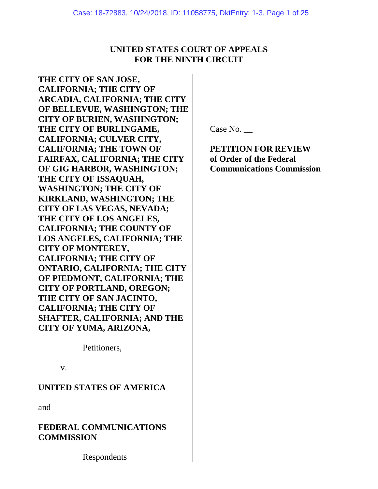### **UNITED STATES COURT OF APPEALS FOR THE NINTH CIRCUIT**

**THE CITY OF SAN JOSE, CALIFORNIA; THE CITY OF ARCADIA, CALIFORNIA; THE CITY OF BELLEVUE, WASHINGTON; THE CITY OF BURIEN, WASHINGTON; THE CITY OF BURLINGAME, CALIFORNIA; CULVER CITY, CALIFORNIA; THE TOWN OF FAIRFAX, CALIFORNIA; THE CITY OF GIG HARBOR, WASHINGTON; THE CITY OF ISSAQUAH, WASHINGTON; THE CITY OF KIRKLAND, WASHINGTON; THE CITY OF LAS VEGAS, NEVADA; THE CITY OF LOS ANGELES, CALIFORNIA; THE COUNTY OF LOS ANGELES, CALIFORNIA; THE CITY OF MONTEREY, CALIFORNIA; THE CITY OF ONTARIO, CALIFORNIA; THE CITY OF PIEDMONT, CALIFORNIA; THE CITY OF PORTLAND, OREGON; THE CITY OF SAN JACINTO, CALIFORNIA; THE CITY OF SHAFTER, CALIFORNIA; AND THE CITY OF YUMA, ARIZONA,** 

Petitioners,

v.

### **UNITED STATES OF AMERICA**

and

**FEDERAL COMMUNICATIONS COMMISSION**

Respondents

Case No. \_\_

**PETITION FOR REVIEW of Order of the Federal Communications Commission**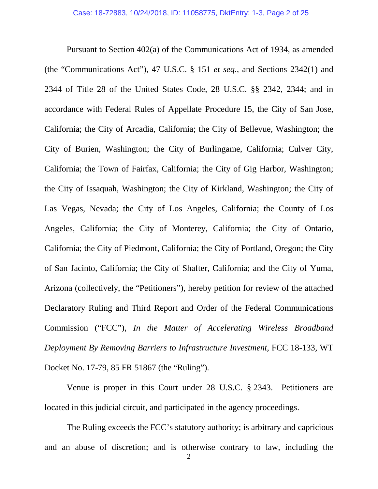Pursuant to Section 402(a) of the Communications Act of 1934, as amended (the "Communications Act"), 47 U.S.C. § 151 *et seq.*, and Sections 2342(1) and 2344 of Title 28 of the United States Code, 28 U.S.C. §§ 2342, 2344; and in accordance with Federal Rules of Appellate Procedure 15, the City of San Jose, California; the City of Arcadia, California; the City of Bellevue, Washington; the City of Burien, Washington; the City of Burlingame, California; Culver City, California; the Town of Fairfax, California; the City of Gig Harbor, Washington; the City of Issaquah, Washington; the City of Kirkland, Washington; the City of Las Vegas, Nevada; the City of Los Angeles, California; the County of Los Angeles, California; the City of Monterey, California; the City of Ontario, California; the City of Piedmont, California; the City of Portland, Oregon; the City of San Jacinto, California; the City of Shafter, California; and the City of Yuma, Arizona (collectively, the "Petitioners"), hereby petition for review of the attached Declaratory Ruling and Third Report and Order of the Federal Communications Commission ("FCC"), *In the Matter of Accelerating Wireless Broadband Deployment By Removing Barriers to Infrastructure Investment*, FCC 18-133, WT Docket No. 17-79, 85 FR 51867 (the "Ruling").

Venue is proper in this Court under 28 U.S.C. § 2343. Petitioners are located in this judicial circuit, and participated in the agency proceedings.

The Ruling exceeds the FCC's statutory authority; is arbitrary and capricious and an abuse of discretion; and is otherwise contrary to law, including the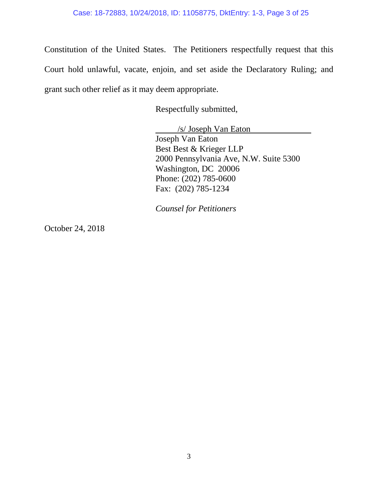Constitution of the United States. The Petitioners respectfully request that this Court hold unlawful, vacate, enjoin, and set aside the Declaratory Ruling; and grant such other relief as it may deem appropriate.

Respectfully submitted,

/s/ Joseph Van Eaton Joseph Van Eaton Best Best & Krieger LLP 2000 Pennsylvania Ave, N.W. Suite 5300 Washington, DC 20006 Phone: (202) 785-0600 Fax: (202) 785-1234

*Counsel for Petitioners* 

October 24, 2018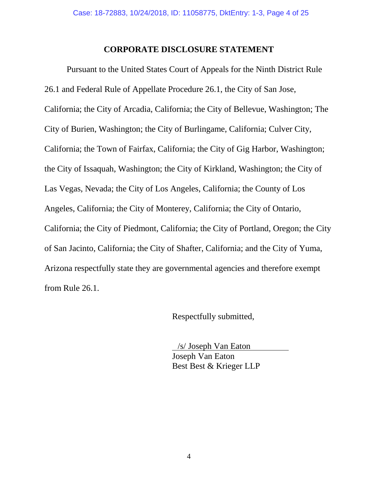### **CORPORATE DISCLOSURE STATEMENT**

Pursuant to the United States Court of Appeals for the Ninth District Rule 26.1 and Federal Rule of Appellate Procedure 26.1, the City of San Jose, California; the City of Arcadia, California; the City of Bellevue, Washington; The City of Burien, Washington; the City of Burlingame, California; Culver City, California; the Town of Fairfax, California; the City of Gig Harbor, Washington; the City of Issaquah, Washington; the City of Kirkland, Washington; the City of Las Vegas, Nevada; the City of Los Angeles, California; the County of Los Angeles, California; the City of Monterey, California; the City of Ontario, California; the City of Piedmont, California; the City of Portland, Oregon; the City of San Jacinto, California; the City of Shafter, California; and the City of Yuma, Arizona respectfully state they are governmental agencies and therefore exempt from Rule 26.1.

Respectfully submitted,

 /s/ Joseph Van Eaton Joseph Van Eaton Best Best & Krieger LLP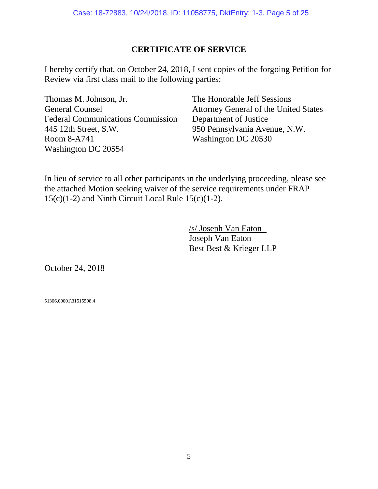# **CERTIFICATE OF SERVICE**

I hereby certify that, on October 24, 2018, I sent copies of the forgoing Petition for Review via first class mail to the following parties:

Thomas M. Johnson, Jr. General Counsel Federal Communications Commission 445 12th Street, S.W. Room 8-A741 Washington DC 20554

The Honorable Jeff Sessions Attorney General of the United States Department of Justice 950 Pennsylvania Avenue, N.W. Washington DC 20530

In lieu of service to all other participants in the underlying proceeding, please see the attached Motion seeking waiver of the service requirements under FRAP  $15(c)(1-2)$  and Ninth Circuit Local Rule  $15(c)(1-2)$ .

> /s/ Joseph Van Eaton Joseph Van Eaton Best Best & Krieger LLP

October 24, 2018

51306.00001\31515598.4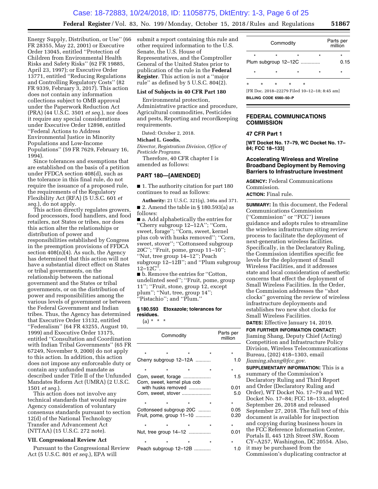Energy Supply, Distribution, or Use'' (66 FR 28355, May 22, 2001) or Executive Order 13045, entitled ''Protection of Children from Environmental Health Risks and Safety Risks'' (62 FR 19885, April 23, 1997); or Executive Order 13771, entitled ''Reducing Regulations and Controlling Regulatory Costs'' (82 FR 9339, February 3, 2017). This action does not contain any information collections subject to OMB approval under the Paperwork Reduction Act (PRA) (44 U.S.C. 3501 *et seq.*), nor does it require any special considerations under Executive Order 12898, entitled ''Federal Actions to Address Environmental Justice in Minority Populations and Low-Income Populations'' (59 FR 7629, February 16, 1994).

Since tolerances and exemptions that are established on the basis of a petition under FFDCA section 408(d), such as the tolerance in this final rule, do not require the issuance of a proposed rule, the requirements of the Regulatory Flexibility Act (RFA) (5 U.S.C. 601 *et seq.*), do not apply.

This action directly regulates growers, food processors, food handlers, and food retailers, not States or tribes, nor does this action alter the relationships or distribution of power and responsibilities established by Congress in the preemption provisions of FFDCA section  $408(n)(4)$ . As such, the Agency has determined that this action will not have a substantial direct effect on States or tribal governments, on the relationship between the national government and the States or tribal governments, or on the distribution of power and responsibilities among the various levels of government or between the Federal Government and Indian tribes. Thus, the Agency has determined that Executive Order 13132, entitled ''Federalism'' (64 FR 43255, August 10, 1999) and Executive Order 13175, entitled ''Consultation and Coordination with Indian Tribal Governments'' (65 FR 67249, November 9, 2000) do not apply to this action. In addition, this action does not impose any enforceable duty or contain any unfunded mandate as described under Title II of the Unfunded Mandates Reform Act (UMRA) (2 U.S.C. 1501 *et seq.*).

This action does not involve any technical standards that would require Agency consideration of voluntary consensus standards pursuant to section 12(d) of the National Technology Transfer and Advancement Act (NTTAA) (15 U.S.C. 272 note).

#### **VII. Congressional Review Act**

Pursuant to the Congressional Review Act (5 U.S.C. 801 *et seq.*), EPA will

submit a report containing this rule and other required information to the U.S. Senate, the U.S. House of Representatives, and the Comptroller General of the United States prior to publication of the rule in the **Federal Register**. This action is not a ''major rule'' as defined by 5 U.S.C. 804(2).

#### **List of Subjects in 40 CFR Part 180**

Environmental protection, Administrative practice and procedure, Agricultural commodities, Pesticides and pests, Reporting and recordkeeping requirements.

Dated: October 2, 2018.

#### **Michael L. Goodis,**

*Director, Registration Division, Office of Pesticide Programs.* 

Therefore, 40 CFR chapter I is amended as follows:

#### **PART 180—[AMENDED]**

■ 1. The authority citation for part 180 continues to read as follows:

**Authority:** 21 U.S.C. 321(q), 346a and 371. ■ 2. Amend the table in § 180.593(a) as follows:

■ a. Add alphabetically the entries for ''Cherry subgroup 12–12A''; ''Corn, sweet, forage''; ''Corn, sweet, kernel plus cob with husks removed''; ''Corn, sweet, stover''; ''Cottonseed subgroup 20C''; ''Fruit, pome, group 11–10''; ''Nut, tree group 14–12''; Peach subgroup 12–12B''; and ''Plum subgroup 12–12C''.

■ b. Remove the entries for "Cotton, undelinted seed''; ''Fruit, pome, group 11''; ''Fruit, stone, group 12, except plum''; ''Nut, tree, group 14''; ''Pistachio''; and ''Plum.''

#### **§ 180.593 Etoxazole; tolerances for residues.**

 $(a) * * * *$ 

| Commodity |                                                     |         | Parts per<br>million |              |
|-----------|-----------------------------------------------------|---------|----------------------|--------------|
|           |                                                     |         |                      |              |
|           | $\star$                                             | $\star$ |                      | *            |
|           | Cherry subgroup 12-12A                              |         |                      | 1.0          |
|           |                                                     |         |                      | $\star$      |
|           | Corn, sweet, forage<br>Corn, sweet, kernel plus cob |         |                      | 1.5          |
|           | with husks removed                                  |         |                      | 0.01         |
|           | Corn, sweet, stover                                 |         |                      | 5.0          |
|           |                                                     |         |                      | $\star$      |
|           | Cottonseed subgroup 20C<br>Fruit, pome, group 11-10 |         |                      | 0.05<br>0.20 |
|           |                                                     |         | $\star$              | $\star$      |
|           | Nut, tree group 14–12                               |         |                      | 0.01         |
|           |                                                     |         | $\star$              |              |
|           | Peach subgroup 12-12B                               |         |                      | 1.0          |

|   | Commodity |         | Parts per<br>million |          |         |
|---|-----------|---------|----------------------|----------|---------|
|   | $\star$   | ÷       | $\star$              | $\star$  | ÷       |
|   |           |         | Plum subgroup 12-12C |          | 0.15    |
|   | $\star$   | ÷       | $\star$              | $\star$  | $\star$ |
| ÷ | $\star$   | $\star$ | ÷                    | $^\star$ |         |

[FR Doc. 2018–22279 Filed 10–12–18; 8:45 am] **BILLING CODE 6560–50–P** 

#### **FEDERAL COMMUNICATIONS COMMISSION**

#### **47 CFR Part 1**

**[WT Docket No. 17–79, WC Docket No. 17– 84; FCC 18–133]** 

#### **Accelerating Wireless and Wireline Broadband Deployment by Removing Barriers to Infrastructure Investment**

**AGENCY:** Federal Communications Commission.

**ACTION:** Final rule.

**SUMMARY:** In this document, the Federal Communications Commission (''Commission'' or ''FCC'') issues guidance and adopts rules to streamline the wireless infrastructure siting review process to facilitate the deployment of next-generation wireless facilities. Specifically, in the Declaratory Ruling, the Commission identifies specific fee levels for the deployment of Small Wireless Facilities, and it addresses state and local consideration of aesthetic concerns that effect the deployment of Small Wireless Facilities. In the Order, the Commission addresses the ''shot clocks'' governing the review of wireless infrastructure deployments and establishes two new shot clocks for Small Wireless Facilities.

**DATES:** Effective January 14, 2019. **FOR FURTHER INFORMATION CONTACT:**  Jiaming Shang, Deputy Chief (Acting) Competition and Infrastructure Policy Division, Wireless Telecommunications

- Bureau, (202) 418–1303, email
- *[Jiaming.shang@fcc.gov.](mailto:Jiaming.shang@fcc.gov)*
- **SUPPLEMENTARY INFORMATION:** This is a summary of the Commission's Declaratory Ruling and Third Report and Order (Declaratory Ruling and
- Order), WT Docket No. 17–79 and WC
- Docket No. 17–84; FCC 18–133, adopted
- September 26, 2018 and released
- September 27, 2018. The full text of this document is available for inspection
- and copying during business hours in the FCC Reference Information Center,
- Portals II, 445 12th Street SW, Room CY–A257, Washington, DC 20554. Also,
- it may be purchased from the Commission's duplicating contractor at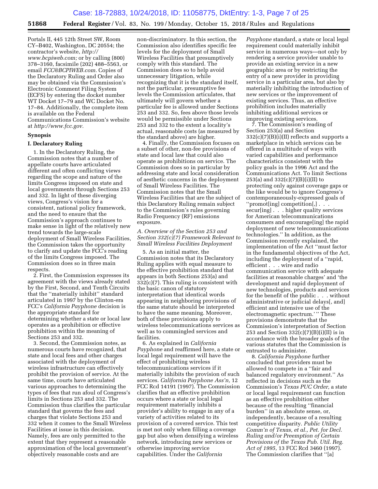Portals II, 445 12th Street SW, Room CY–B402, Washington, DC 20554; the contractor's website, *[http://](http://www.bcpiweb.com) [www.bcpiweb.com;](http://www.bcpiweb.com)* or by calling (800) 378–3160, facsimile (202) 488–5563, or email *[FCC@BCPIWEB.com.](mailto:FCC@BCPIWEB.com)* Copies of the Declaratory Ruling and Order also may be obtained via the Commission's Electronic Comment Filing System (ECFS) by entering the docket number WT Docket 17–79 and WC Docket No. 17–84. Additionally, the complete item is available on the Federal Communications Commission's website at *[http://www.fcc.gov.](http://www.fcc.gov)* 

#### **Synopsis**

#### **I. Declaratory Ruling**

1. In the Declaratory Ruling, the Commission notes that a number of appellate courts have articulated different and often conflicting views regarding the scope and nature of the limits Congress imposed on state and local governments through Sections 253 and 332. In light of these diverging views, Congress's vision for a consistent, national policy framework, and the need to ensure that the Commission's approach continues to make sense in light of the relatively new trend towards the large-scale deployment of Small Wireless Facilities, the Commission takes the opportunity to clarify and update the FCC's reading of the limits Congress imposed. The Commission does so in three main respects.

2. First, the Commission expresses its agreement with the views already stated by the First, Second, and Tenth Circuits that the ''materially inhibit'' standard articulated in 1997 by the Clinton-era FCC's *California Payphone* decision is the appropriate standard for determining whether a state or local law operates as a prohibition or effective prohibition within the meaning of Sections 253 and 332.

3. Second, the Commission notes, as numerous courts have recognized, that state and local fees and other charges associated with the deployment of wireless infrastructure can effectively prohibit the provision of service. At the same time, courts have articulated various approaches to determining the types of fees that run afoul of Congress's limits in Sections 253 and 332. The Commission thus clarifies the particular standard that governs the fees and charges that violate Sections 253 and 332 when it comes to the Small Wireless Facilities at issue in this decision. Namely, fees are only permitted to the extent that they represent a reasonable approximation of the local government's objectively reasonable costs and are

non-discriminatory. In this section, the Commission also identifies specific fee levels for the deployment of Small Wireless Facilities that presumptively comply with this standard. The Commission does so to help avoid unnecessary litigation, while recognizing that it is the standard itself, not the particular, presumptive fee levels the Commission articulates, that ultimately will govern whether a particular fee is allowed under Sections 253 and 332. So, fees above those levels would be permissible under Sections 253 and 332 to the extent a locality's actual, reasonable costs (as measured by the standard above) are higher.

4. Finally, the Commission focuses on a subset of other, non-fee provisions of state and local law that could also operate as prohibitions on service. The Commission does so in particular by addressing state and local consideration of aesthetic concerns in the deployment of Small Wireless Facilities. The Commission notes that the Small Wireless Facilities that are the subject of this Declaratory Ruling remain subject to the Commission's rules governing Radio Frequency (RF) emissions exposure.

#### *A. Overview of the Section 253 and Section 332(c)(7) Framework Relevant to Small Wireless Facilities Deployment*

5. As an initial matter, the Commission notes that its Declaratory Ruling applies with equal measure to the effective prohibition standard that appears in both Sections 253(a) and 332(c)(7). This ruling is consistent with the basic canon of statutory interpretation that identical words appearing in neighboring provisions of the same statute should be interpreted to have the same meaning. Moreover, both of these provisions apply to wireless telecommunications services as well as to commingled services and facilities.

6. As explained in *California Payphone* and reaffirmed here, a state or local legal requirement will have the effect of prohibiting wireless telecommunications services if it materially inhibits the provision of such services. *California Payphone Ass'n,* 12 FCC Rcd 14191 (1997). The Commission clarifies that an effective prohibition occurs where a state or local legal requirement materially inhibits a provider's ability to engage in any of a variety of activities related to its provision of a covered service. This test is met not only when filling a coverage gap but also when densifying a wireless network, introducing new services or otherwise improving service capabilities. Under the *California* 

*Payphone* standard, a state or local legal requirement could materially inhibit service in numerous ways—not only by rendering a service provider unable to provide an existing service in a new geographic area or by restricting the entry of a new provider in providing service in a particular area, but also by materially inhibiting the introduction of new services or the improvement of existing services. Thus, an effective prohibition includes materially inhibiting additional services or improving existing services.

7. The Commission's reading of Section 253(a) and Section 332(c)(7)(B)(i)(II) reflects and supports a marketplace in which services can be offered in a multitude of ways with varied capabilities and performance characteristics consistent with the policy goals in the 1996 Act and the Communications Act. To limit Sections 253(a) and  $332(c)(7)(B)(i)(II)$  to protecting only against coverage gaps or the like would be to ignore Congress's contemporaneously-expressed goals of ''promot[ing] competition[,] . . . secur[ing] . . . higher quality services for American telecommunications consumers and encourage[ing] the rapid deployment of new telecommunications technologies.'' In addition, as the Commission recently explained, the implementation of the Act ''must factor in the fundamental objectives of the Act, including the deployment of a ''rapid, efficient . . . wire and radio communication service with adequate facilities at reasonable charges' and 'the development and rapid deployment of new technologies, products and services for the benefit of the public . . . without administrative or judicial delays[, and] efficient and intensive use of the electromagnetic spectrum.'" These provisions demonstrate that the Commission's interpretation of Section 253 and Section  $332(c)(7)(B)(i)(II)$  is in accordance with the broader goals of the various statutes that the Commission is entrusted to administer.

8. *California Payphone* further concluded that providers must be allowed to compete in a ''fair and balanced regulatory environment.'' As reflected in decisions such as the Commission's *Texas PUC Order,* a state or local legal requirement can function as an effective prohibition either because of the resulting ''financial burden'' in an absolute sense, or, independently, because of a resulting competitive disparity. *Public Utility Comm'n of Texas, et al., Pet. for Decl. Ruling and/or Preemption of Certain Provisions of the Texas Pub. Util. Reg. Act of 1995,* 13 FCC Rcd 3460 (1997). The Commission clarifies that ''[a]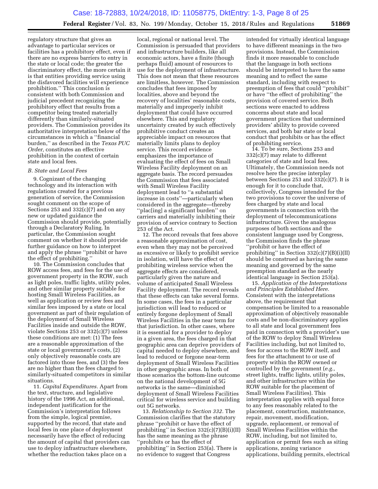regulatory structure that gives an advantage to particular services or facilities has a prohibitory effect, even if there are no express barriers to entry in the state or local code; the greater the discriminatory effect, the more certain it is that entities providing service using the disfavored facilities will experience prohibition.'' This conclusion is consistent with both Commission and judicial precedent recognizing the prohibitory effect that results from a competitor being treated materially differently than similarly-situated providers. The Commission provides its authoritative interpretation below of the circumstances in which a ''financial burden,'' as described in the *Texas PUC Order,* constitutes an effective prohibition in the context of certain state and local fees.

#### *B. State and Local Fees*

9. Cognizant of the changing technology and its interaction with regulations created for a previous generation of service, the Commission sought comment on the scope of Sections 253 and 332(c)(7) and on any new or updated guidance the Commission should provide, potentially through a Declaratory Ruling. In particular, the Commission sought comment on whether it should provide further guidance on how to interpret and apply the phrase ''prohibit or have the effect of prohibiting.''

10. The Commission concludes that ROW access fees, and fees for the use of government property in the ROW, such as light poles, traffic lights, utility poles, and other similar property suitable for hosting Small Wireless Facilities, as well as application or review fees and similar fees imposed by a state or local government as part of their regulation of the deployment of Small Wireless Facilities inside and outside the ROW, violate Sections 253 or 332(c)(7) unless these conditions are met: (1) The fees are a reasonable approximation of the state or local government's costs, (2) only objectively reasonable costs are factored into those fees, and (3) the fees are no higher than the fees charged to similarly-situated competitors in similar situations.

11. *Capital Expenditures.* Apart from the text, structure, and legislative history of the 1996 Act, an additional, independent justification for the Commission's interpretation follows from the simple, logical premise, supported by the record, that state and local fees in one place of deployment necessarily have the effect of reducing the amount of capital that providers can use to deploy infrastructure elsewhere, whether the reduction takes place on a

local, regional or national level. The Commission is persuaded that providers and infrastructure builders, like all economic actors, have a finite (though perhaps fluid) amount of resources to use for the deployment of infrastructure. This does not mean that these resources are limitless, however. The Commission concludes that fees imposed by localities, above and beyond the recovery of localities' reasonable costs, materially and improperly inhibit deployment that could have occurred elsewhere. This and regulatory uncertainty created by such effectively prohibitive conduct creates an appreciable impact on resources that materially limits plans to deploy service. This record evidence emphasizes the importance of evaluating the effect of fees on Small Wireless Facility deployment on an aggregate basis. The record persuades the Commission that fees associated with Small Wireless Facility deployment lead to ''a substantial increase in costs''—particularly when considered in the aggregate—thereby ''plac[ing] a significant burden'' on carriers and materially inhibiting their provision of service contrary to Section 253 of the Act.

12. The record reveals that fees above a reasonable approximation of cost, even when they may not be perceived as excessive or likely to prohibit service in isolation, will have the effect of prohibiting wireless service when the aggregate effects are considered, particularly given the nature and volume of anticipated Small Wireless Facility deployment. The record reveals that these effects can take several forms. In some cases, the fees in a particular jurisdiction will lead to reduced or entirely forgone deployment of Small Wireless Facilities in the near term for that jurisdiction. In other cases, where it is essential for a provider to deploy in a given area, the fees charged in that geographic area can deprive providers of capital needed to deploy elsewhere, and lead to reduced or forgone near-term deployment of Small Wireless Facilities in other geographic areas. In both of those scenarios the bottom-line outcome on the national development of 5G networks is the same—diminished deployment of Small Wireless Facilities critical for wireless service and building out 5G networks.

13. *Relationship to Section 332.* The Commission clarifies that the statutory phrase ''prohibit or have the effect of prohibiting'' in Section 332(c)(7)(B)(i)(II) has the same meaning as the phrase ''prohibits or has the effect of prohibiting'' in Section 253(a). There is no evidence to suggest that Congress

intended for virtually identical language to have different meanings in the two provisions. Instead, the Commission finds it more reasonable to conclude that the language in both sections should be interpreted to have the same meaning and to reflect the same standard, including with respect to preemption of fees that could ''prohibit'' or have ''the effect of prohibiting'' the provision of covered service. Both sections were enacted to address concerns about state and local government practices that undermined providers' ability to provide covered services, and both bar state or local conduct that prohibits or has the effect of prohibiting service.

14. To be sure, Sections 253 and 332(c)(7) may relate to different categories of state and local fees. Ultimately, the Commission needs not resolve here the precise interplay between Sections 253 and 332(c)(7). It is enough for it to conclude that, collectively, Congress intended for the two provisions to cover the universe of fees charged by state and local governments in connection with the deployment of telecommunications infrastructure. Given the analogous purposes of both sections and the consistent language used by Congress, the Commission finds the phrase ''prohibit or have the effect of prohibiting'' in Section 332(c)(7)(B)(i)(II) should be construed as having the same meaning and governed by the same preemption standard as the nearly identical language in Section 253(a).

15. *Application of the Interpretations and Principles Established Here.*  Consistent with the interpretations above, the requirement that compensation be limited to a reasonable approximation of objectively reasonable costs and be non-discriminatory applies to all state and local government fees paid in connection with a provider's use of the ROW to deploy Small Wireless Facilities including, but not limited to, fees for access to the ROW itself, and fees for the attachment to or use of property within the ROW owned or controlled by the government (*e.g.,*  street lights, traffic lights, utility poles, and other infrastructure within the ROW suitable for the placement of Small Wireless Facilities). This interpretation applies with equal force to any fees reasonably related to the placement, construction, maintenance, repair, movement, modification, upgrade, replacement, or removal of Small Wireless Facilities within the ROW, including, but not limited to, application or permit fees such as siting applications, zoning variance applications, building permits, electrical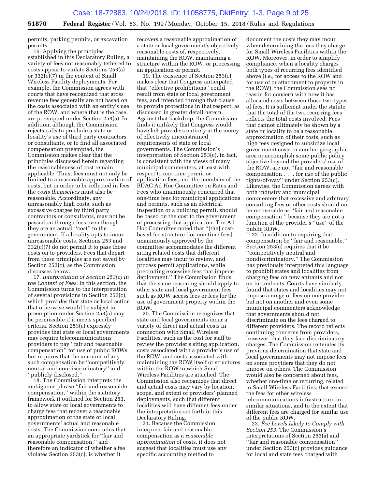permits, parking permits, or excavation permits.

16. Applying the principles established in this Declaratory Ruling, a variety of fees not reasonably tethered to costs appear to violate Sections 253(a) or 332(c)(7) in the context of Small Wireless Facility deployments. For example, the Commission agrees with courts that have recognized that gross revenue fees generally are not based on the costs associated with an entity's use of the ROW, and where that is the case, are preempted under Section 253(a). In addition, although the Commission rejects calls to preclude a state or locality's use of third party contractors or consultants, or to find all associated compensation preempted, the Commission makes clear that the principles discussed herein regarding the reasonableness of cost remain applicable. Thus, fees must not only be limited to a reasonable approximation of costs, but in order to be reflected in fees the *costs themselves* must also be reasonable. Accordingly, any unreasonably high costs, such as excessive charges by third party contractors or consultants, may not be passed on through fees even though they are an actual ''cost'' to the government. If a locality opts to incur unreasonable costs, Sections 253 and 332(c)(7) do not permit it to pass those costs on to providers. Fees that depart from these principles are not saved by Section 253(c), as the Commission discusses below.

17. *Interpretation of Section 253(c) in the Context of Fees.* In this section, the Commission turns to the interpretation of several provisions in Section 253(c), which provides that state or local action that otherwise would be subject to preemption under Section 253(a) may be permissible if it meets specified criteria. Section 253(c) expressly provides that state or local governments may require telecommunications providers to pay ''fair and reasonable compensation'' for use of public ROWs but requires that the amounts of any such compensation be ''competitively neutral and nondiscriminatory'' and ''publicly disclosed.''

18. The Commission interprets the ambiguous phrase ''fair and reasonable compensation,'' within the statutory framework it outlined for Section 253, to allow state or local governments to charge fees that recover a reasonable approximation of the state or local governments' actual and reasonable costs. The Commission concludes that an appropriate yardstick for ''fair and reasonable compensation,'' and therefore an indicator of whether a fee violates Section 253(c), is whether it

recovers a reasonable approximation of a state or local government's objectively reasonable costs of, respectively, maintaining the ROW, maintaining a structure within the ROW, or processing an application or permit.

19. The existence of Section 253(c) makes clear that Congress anticipated that ''effective prohibitions'' could result from state or local government fees, and intended through that clause to provide protections in that respect, as discussed in greater detail herein. Against that backdrop, the Commission finds it unlikely that Congress would have left providers entirely at the mercy of effectively unconstrained requirements of state or local governments. The Commission's interpretation of Section 253(c), in fact, is consistent with the views of many municipal commenters, at least with respect to one-time permit or application fees, and the members of the BDAC Ad Hoc Committee on Rates and Fees who unanimously concurred that one-time fees for municipal applications and permits, such as an electrical inspection or a building permit, should be based on the cost to the government of processing that application. The Ad Hoc Committee noted that ''[the] costbased fee structure [for one-time fees] unanimously approved by the committee accommodates the different siting related costs that different localities may incur to review, and process permit applications, while precluding excessive fees that impede deployment.'' The Commission finds that the same reasoning should apply to other state and local government fees such as ROW access fees or fees for the use of government property within the ROW.

20. The Commission recognizes that state and local governments incur a variety of direct and actual costs in connection with Small Wireless Facilities, such as the cost for staff to review the provider's siting application, costs associated with a provider's use of the ROW, and costs associated with maintaining the ROW itself or structures within the ROW to which Small Wireless Facilities are attached. The Commission also recognizes that direct and actual costs may vary by location, scope, and extent of providers' planned deployments, such that different localities will have different fees under the interpretation set forth in this Declaratory Ruling.

21. Because the Commission interprets fair and reasonable compensation as a *reasonable approximation* of costs, it does not suggest that localities must use any specific accounting method to

document the costs they may incur when determining the fees they charge for Small Wireless Facilities within the ROW. Moreover, in order to simplify compliance, when a locality charges both types of recurring fees identified above (*i.e.,* for access to the ROW and for use of or attachment to property in the ROW), the Commission sees no reason for concern with how it has allocated costs between those two types of fees. It is sufficient under the statute that the total of the two recurring fees reflects the total costs involved. Fees that cannot ultimately be shown by a state or locality to be a reasonable approximation of their costs, such as high fees designed to subsidize local government costs in another geographic area or accomplish some public policy objective beyond the providers' use of the ROW, are not ''fair and reasonable compensation . . . for *use* of the public rights-of-way'' under Section 253(c). Likewise, the Commission agrees with both industry and municipal commenters that excessive and arbitrary consulting fees or other costs should not be recoverable as ''fair and reasonable compensation,'' because they are not a function of the provider's ''use'' of the public ROW.

22. In addition to requiring that compensation be ''fair and reasonable,'' Section 253(c) requires that it be ''competitively neutral and nondiscriminatory.'' The Commission has previously interpreted this language to prohibit states and localities from charging fees on new entrants and not on incumbents. Courts have similarly found that states and localities may not impose a range of fees on one provider but not on another and even some municipal commenters acknowledge that governments should not discriminate on the fees charged to different providers. The record reflects continuing concerns from providers, however, that they face discriminatory charges. The Commission reiterates its previous determination that state and local governments may not impose fees on some providers that they do not impose on others. The Commission would also be concerned about fees, whether one-time or recurring, related to Small Wireless Facilities, that exceed the fees for other wireless telecommunications infrastructure in similar situations, and to the extent that different fees are charged for similar use of the public ROW.

23. *Fee Levels Likely to Comply with Section 253.* The Commission's interpretations of Section 253(a) and ''fair and reasonable compensation'' under Section 253(c) provides guidance for local and state fees charged with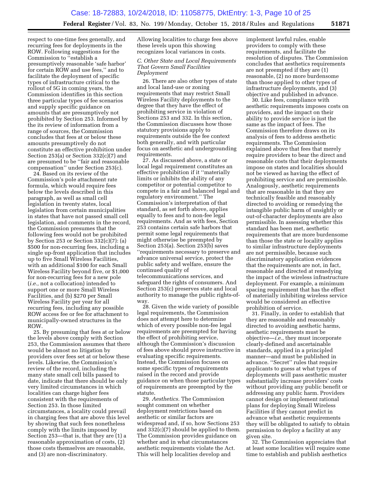respect to one-time fees generally, and recurring fees for deployments in the ROW. Following suggestions for the Commission to ''establish a presumptively reasonable 'safe harbor' for certain ROW and use fees,'' and to facilitate the deployment of specific types of infrastructure critical to the rollout of 5G in coming years, the Commission identifies in this section three particular types of fee scenarios and supply specific guidance on amounts that are presumptively not prohibited by Section 253. Informed by the its review of information from a range of sources, the Commission concludes that fees at or below these amounts presumptively do not constitute an effective prohibition under Section 253(a) or Section 332(c)(7) and are presumed to be ''fair and reasonable compensation'' under Section 253(c).

24. Based on its review of the Commission's pole attachment rate formula, which would require fees below the levels described in this paragraph, as well as small cell legislation in twenty states, local legislation from certain municipalities in states that have not passed small cell legislation, and comments in the record, the Commission presumes that the following fees would not be prohibited by Section 253 or Section 332(c)(7): (a) \$500 for non-recurring fees, including a single up-front application that includes up to five Small Wireless Facilities, with an additional \$100 for each Small Wireless Facility beyond five, or \$1,000 for non-recurring fees for a new pole (*i.e.,* not a collocation) intended to support one or more Small Wireless Facilities, and (b) \$270 per Small Wireless Facility per year for all recurring fees, including any possible ROW access fee or fee for attachment to municipally-owned structures in the ROW.

25. By presuming that fees at or below the levels above comply with Section 253, the Commission assumes that there would be almost no litigation by providers over fees set at or below these levels. Likewise, the Commission's review of the record, including the many state small cell bills passed to date, indicate that there should be only very limited circumstances in which localities can charge higher fees consistent with the requirements of Section 253. In those limited circumstances, a locality could prevail in charging fees that are above this level by showing that such fees nonetheless comply with the limits imposed by Section 253—that is, that they are (1) a reasonable approximation of costs, (2) those costs themselves are reasonable, and (3) are non-discriminatory.

Allowing localities to charge fees above these levels upon this showing recognizes local variances in costs.

#### *C. Other State and Local Requirements That Govern Small Facilities Deployment*

26. There are also other types of state and local land-use or zoning requirements that may restrict Small Wireless Facility deployments to the degree that they have the effect of prohibiting service in violation of Sections 253 and 332. In this section, the Commission discusses how those statutory provisions apply to requirements outside the fee context both generally, and with particular focus on aesthetic and undergrounding requirements.

27. As discussed above, a state or local legal requirement constitutes an effective prohibition if it ''materially limits or inhibits the ability of any competitor or potential competitor to compete in a fair and balanced legal and regulatory environment.'' The Commission's interpretation of that standard, as set forth above, applies equally to fees and to non-fee legal requirements. And as with fees, Section 253 contains certain safe harbors that permit some legal requirements that might otherwise be preempted by Section 253(a). Section 253(b) saves ''requirements necessary to preserve and advance universal service, protect the public safety and welfare, ensure the continued quality of telecommunications services, and safeguard the rights of consumers. And Section 253(c) preserves state and local authority to manage the public rights-ofway.

28. Given the wide variety of possible legal requirements, the Commission does not attempt here to determine which of every possible non-fee legal requirements are preempted for having the effect of prohibiting service, although the Commission's discussion of fees above should prove instructive in evaluating specific requirements. Instead, the Commission focuses on some specific types of requirements raised in the record and provide guidance on when those particular types of requirements are preempted by the statute.

29. *Aesthetics.* The Commission sought comment on whether deployment restrictions based on aesthetic or similar factors are widespread and, if so, how Sections 253 and 332(c)(7) should be applied to them. The Commission provides guidance on whether and in what circumstances aesthetic requirements violate the Act. This will help localities develop and

implement lawful rules, enable providers to comply with these requirements, and facilitate the resolution of disputes. The Commission concludes that aesthetics requirements are not preempted if they are (1) reasonable, (2) no more burdensome than those applied to other types of infrastructure deployments, and (3) objective and published in advance.

30. Like fees, compliance with aesthetic requirements imposes costs on providers, and the impact on their ability to provide service is just the same as the impact of fees. The Commission therefore draws on its analysis of fees to address aesthetic requirements. The Commission explained above that fees that merely require providers to bear the direct and reasonable costs that their deployments impose on states and localities should not be viewed as having the effect of prohibiting service and are permissible. Analogously, aesthetic requirements that are reasonable in that they are technically feasible and reasonably directed to avoiding or remedying the intangible public harm of unsightly or out-of-character deployments are also permissible. In assessing whether this standard has been met, aesthetic requirements that are more burdensome than those the state or locality applies to similar infrastructure deployments are not permissible, because such discriminatory application evidences that the requirements are not, in fact, reasonable and directed at remedying the impact of the wireless infrastructure deployment. For example, a minimum spacing requirement that has the effect of materially inhibiting wireless service would be considered an effective prohibition of service.

31. Finally, in order to establish that they are reasonable and reasonably directed to avoiding aesthetic harms, aesthetic requirements must be objective—*i.e.,* they must incorporate clearly-defined and ascertainable standards, applied in a principled manner—and must be published in advance. ''Secret'' rules that require applicants to guess at what types of deployments will pass aesthetic muster substantially increase providers' costs without providing any public benefit or addressing any public harm. Providers cannot design or implement rational plans for deploying Small Wireless Facilities if they cannot predict in advance what aesthetic requirements they will be obligated to satisfy to obtain permission to deploy a facility at any given site.

32. The Commission appreciates that at least some localities will require some time to establish and publish aesthetics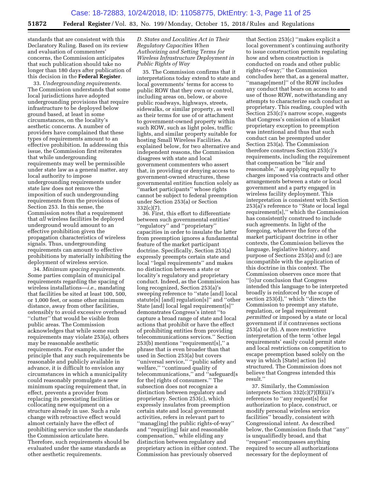standards that are consistent with this Declaratory Ruling. Based on its review and evaluation of commenters' concerns, the Commission anticipates that such publication should take no longer than 180 days after publication of this decision in the **Federal Register**.

33. *Undergrounding requirements.*  The Commission understands that some local jurisdictions have adopted undergrounding provisions that require infrastructure to be deployed below ground based, at least in some circumstances, on the locality's aesthetic concerns. A number of providers have complained that these types of requirements amount to an effective prohibition. In addressing this issue, the Commission first reiterates that while undergrounding requirements may well be permissible under state law as a general matter, any local authority to impose undergrounding requirements under state law does not remove the imposition of such undergrounding requirements from the provisions of Section 253. In this sense, the Commission notes that a requirement that *all* wireless facilities be deployed underground would amount to an effective prohibition given the propagation characteristics of wireless signals. Thus, undergrounding requirements can amount to effective prohibitions by materially inhibiting the deployment of wireless service.

34. *Minimum spacing requirements.*  Some parties complain of municipal requirements regarding the spacing of wireless installations—*i.e.,* mandating that facilities be sited at least 100, 500, or 1,000 feet, or some other minimum distance, away from other facilities, ostensibly to avoid excessive overhead "clutter" that would be visible from public areas. The Commission acknowledges that while some such requirements may violate 253(a), others may be reasonable aesthetic requirements. For example, under the principle that any such requirements be reasonable and publicly available in advance, it is difficult to envision any circumstances in which a municipality could reasonably promulgate a new minimum spacing requirement that, in effect, prevents a provider from replacing its preexisting facilities or collocating new equipment on a structure already in use. Such a rule change with retroactive effect would almost certainly have the effect of prohibiting service under the standards the Commission articulate here. Therefore, such requirements should be evaluated under the same standards as other aesthetic requirements.

*D. States and Localities Act in Their Regulatory Capacities When Authorizing and Setting Terms for Wireless Infrastructure Deployment in Public Rights of Way* 

35. The Commission confirms that it interpretations today extend to state and local governments' terms for access to public ROW that they own or control, including areas on, below, or above public roadways, highways, streets, sidewalks, or similar property, as well as their terms for use of or attachment to government-owned property within such ROW, such as light poles, traffic lights, and similar property suitable for hosting Small Wireless Facilities. As explained below, for two alternative and independent reasons, the Commission disagrees with state and local government commenters who assert that, in providing or denying access to government-owned structures, these governmental entities function solely as 'market participants" whose rights cannot be subject to federal preemption under Section 253(a) or Section 332(c)(7).

36. First, this effort to differentiate between such governmental entities' ''regulatory'' and ''proprietary'' capacities in order to insulate the latter from preemption ignores a fundamental feature of the market participant doctrine. Specifically, Section 253(a) expressly preempts certain state and local ''legal requirements'' and makes no distinction between a state or locality's regulatory and proprietary conduct. Indeed, as the Commission has long recognized, Section 253(a)'s sweeping reference to ''state [and] local statute[s] [and] regulation[s]'' and ''other State [and] local legal requirement[s]'' demonstrates Congress's intent ''to capture a broad range of state and local actions that prohibit or have the effect of prohibiting entities from providing telecommunications services.'' Section 253(b) mentions ''requirement[s],'' a phrase that is even broader than that used in Section 253(a) but covers ''universal service,'' ''public safety and welfare,'' ''continued quality of telecommunications,'' and ''safeguard[s for the] rights of consumers.'' The subsection does not recognize a distinction between regulatory and proprietary. Section 253(c), which expressly insulates from preemption certain state and local government activities, refers in relevant part to ''manag[ing] the public rights-of-way'' and ''requir[ing] fair and reasonable compensation,'' while eliding any distinction between regulatory and proprietary action in either context. The Commission has previously observed

that Section 253(c) ''makes explicit a local government's continuing authority to issue construction permits regulating how and when construction is conducted on roads and other public rights-of-way;'' the Commission concludes here that, as a general matter, ''manage[ment]'' of the ROW includes any conduct that bears on access to and use of those ROW, notwithstanding any attempts to characterize such conduct as proprietary. This reading, coupled with Section 253(c)'s narrow scope, suggests that Congress's omission of a blanket proprietary exception to preemption was intentional and thus that such conduct can be preempted under Section 253(a). The Commission therefore construes Section 253(c)'s requirements, including the requirement that compensation be ''fair and reasonable,'' as applying equally to charges imposed via contracts and other arrangements between a state or local government and a party engaged in wireless facility deployment. This interpretation is consistent with Section 253(a)'s reference to ''State or local legal requirement[s],'' which the Commission has consistently construed to include such agreements. In light of the foregoing, whatever the force of the market participant doctrine in other contexts, the Commission believes the language, legislative history, and purpose of Sections 253(a) and (c) are incompatible with the application of this doctrine in this context. The Commission observes once more that ''[o]ur conclusion that Congress intended this language to be interpreted broadly is reinforced by the scope of section 253(d)," which "directs the Commission to preempt any statute, regulation, or legal requirement *permitted* or imposed by a state or local government if it contravenes sections 253(a) or (b). A more restrictive interpretation of the term 'other legal requirements' easily could permit state and local restrictions on competition to escape preemption based solely on the way in which [State] action [is] structured. The Commission does not believe that Congress intended this result.''

37. Similarly, the Commission interprets Section 332(c)(7)(B)(ii)'s references to ''any request[s] for authorization to place, construct, or modify personal wireless service facilities'' broadly, consistent with Congressional intent. As described below, the Commission finds that ''any'' is unqualifiedly broad, and that ''request'' encompasses anything required to secure all authorizations necessary for the deployment of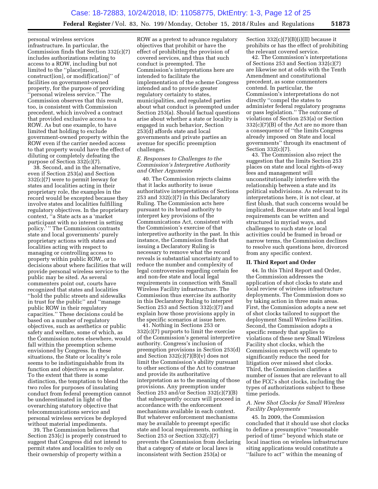personal wireless services infrastructure. In particular, the Commission finds that Section 332(c)(7) includes authorizations relating to access to a ROW, including but not limited to the ''place[ment], construct[ion], or modif[ication]'' of facilities on government-owned property, for the purpose of providing 'personal wireless service." The Commission observes that this result, too, is consistent with Commission precedent, which involved a contract that provided exclusive access to a ROW. As but one example, to have limited that holding to exclude government-owned property within the ROW even if the carrier needed access to that property would have the effect of diluting or completely defeating the purpose of Section 332(c)(7).

38. Second, and in the alternative, even if Section 253(a) and Section 332(c)(7) were to permit leeway for states and localities acting in their proprietary role, the examples in the record would be excepted because they involve states and localities fulfilling regulatory objectives. In the proprietary context, ''a State acts as a 'market participant with no interest in setting policy.' '' The Commission contrasts state and local governments' purely proprietary actions with states and localities acting with respect to managing or controlling access to property within public ROW, or to decisions about where facilities that will provide personal wireless service to the public may be sited. As several commenters point out, courts have recognized that states and localities ''hold the public streets and sidewalks in trust for the public'' and ''manage public ROW in their regulatory capacities.'' These decisions could be based on a number of regulatory objectives, such as aesthetics or public safety and welfare, some of which, as the Commission notes elsewhere, would fall within the preemption scheme envisioned by Congress. In these situations, the State or locality's role seems to be indistinguishable from its function and objectives as a regulator. To the extent that there is some distinction, the temptation to blend the two roles for purposes of insulating conduct from federal preemption cannot be underestimated in light of the overarching statutory objective that telecommunications service and personal wireless services be deployed without material impediments.

39. The Commission believes that Section 253(c) is properly construed to suggest that Congress did not intend to permit states and localities to rely on their ownership of property within a

ROW as a pretext to advance regulatory objectives that prohibit or have the effect of prohibiting the provision of covered services, and thus that such conduct is preempted. The Commission's interpretations here are intended to facilitate the implementation of the scheme Congress intended and to provide greater regulatory certainty to states, municipalities, and regulated parties about what conduct is preempted under Section 253(a). Should factual questions arise about whether a state or locality is engaged in such behavior, Section 253(d) affords state and local governments and private parties an avenue for specific preemption challenges.

#### *E. Responses to Challenges to the Commission's Interpretive Authority and Other Arguments*

40. The Commission rejects claims that it lacks authority to issue authoritative interpretations of Sections 253 and 332(c)(7) in this Declaratory Ruling. The Commission acts here pursuant to its broad authority to interpret key provisions of the Communications Act, consistent with the Commission's exercise of that interpretive authority in the past. In this instance, the Commission finds that issuing a Declaratory Ruling is necessary to remove what the record reveals is substantial uncertainty and to reduce the number and complexity of legal controversies regarding certain fee and non-fee state and local legal requirements in connection with Small Wireless Facility infrastructure. The Commission thus exercise its authority in this Declaratory Ruling to interpret Section 253 and Section 332(c)(7) and explain how those provisions apply in the specific scenarios at issue here.

41. Nothing in Sections 253 or 332(c)(7) purports to limit the exercise of the Commission's general interpretive authority. Congress's inclusion of preemption provisions in Section 253(d) and Section  $332(c)(7)(B)(v)$  does not limit the Commission's ability pursuant to other sections of the Act to construe and provide its authoritative interpretation as to the meaning of those provisions. Any preemption under Section 253 and/or Section 332(c)(7)(B) that subsequently occurs will proceed in accordance with the enforcement mechanisms available in each context. But whatever enforcement mechanisms may be available to preempt specific state and local requirements, nothing in Section 253 or Section 332(c)(7) prevents the Commission from declaring that a category of state or local laws is inconsistent with Section 253(a) or

Section 332(c)(7)(B)(i)(II) because it prohibits or has the effect of prohibiting the relevant covered service.

42. The Commission's interpretations of Sections 253 and Section 332(c)(7) are likewise not at odds with the Tenth Amendment and constitutional precedent, as some commenters contend. In particular, the Commission's interpretations do not directly ''compel the states to administer federal regulatory programs or pass legislation.'' The outcome of violations of Section 253(a) or Section 332(c)(7)(B) of the Act are no more than a consequence of ''the limits Congress already imposed on State and local governments'' through its enactment of Section 332(c)(7).

43. The Commission also reject the suggestion that the limits Section 253 places on state and local rights-of-way fees and management will unconstitutionally interfere with the relationship between a state and its political subdivisions. As relevant to its interpretations here, it is not clear, at first blush, that such concerns would be implicated. Because state and local legal requirements can be written and structured in myriad ways, and challenges to such state or local activities could be framed in broad or narrow terms, the Commission declines to resolve such questions here, divorced from any specific context.

#### **II. Third Report and Order**

44. In this Third Report and Order, the Commission addresses the application of shot clocks to state and local review of wireless infrastructure deployments. The Commission does so by taking action in three main areas. First, the Commission adopts a new set of shot clocks tailored to support the deployment Small Wireless Facilities. Second, the Commission adopts a specific remedy that applies to violations of these new Small Wireless Facility shot clocks, which the Commission expects will operate to significantly reduce the need for litigation over missed shot clocks. Third, the Commission clarifies a number of issues that are relevant to all of the FCC's shot clocks, including the types of authorizations subject to these time periods.

#### *A. New Shot Clocks for Small Wireless Facility Deployments*

45. In 2009, the Commission concluded that it should use shot clocks to define a presumptive ''reasonable period of time'' beyond which state or local inaction on wireless infrastructure siting applications would constitute a ''failure to act'' within the meaning of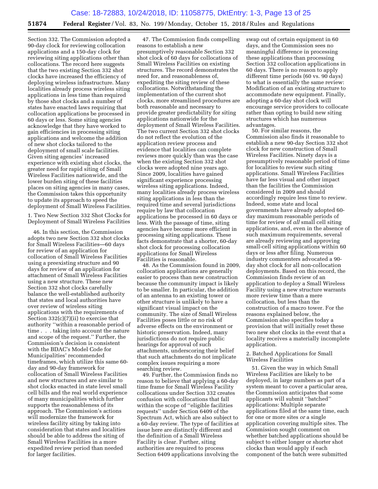Section 332. The Commission adopted a 90-day clock for reviewing collocation applications and a 150-day clock for reviewing siting applications other than collocations. The record here suggests that the two existing Section 332 shot clocks have increased the efficiency of deploying wireless infrastructure. Many localities already process wireless siting applications in less time than required by those shot clocks and a number of states have enacted laws requiring that collocation applications be processed in 60 days or less. Some siting agencies acknowledge that they have worked to gain efficiencies in processing siting applications and welcome the addition of new shot clocks tailored to the deployment of small scale facilities. Given siting agencies' increased experience with existing shot clocks, the greater need for rapid siting of Small Wireless Facilities nationwide, and the lower burden siting of these facilities places on siting agencies in many cases, the Commission takes this opportunity to update its approach to speed the deployment of Small Wireless Facilities.

1. Two New Section 332 Shot Clocks for Deployment of Small Wireless Facilities

46. In this section, the Commission adopts two new Section 332 shot clocks for Small Wireless Facilities—60 days for review of an application for collocation of Small Wireless Facilities using a preexisting structure and 90 days for review of an application for attachment of Small Wireless Facilities using a new structure. These new Section 332 shot clocks carefully balance the well-established authority that states and local authorities have over review of wireless siting applications with the requirements of Section  $332(c)(7)(ii)$  to exercise that authority ''within a reasonable period of time . . . taking into account the nature and scope of the request.'' Further, the Commission's decision is consistent with the BDAC's Model Code for Municipalities' recommended timeframes, which utilize this same 60 day and 90-day framework for collocation of Small Wireless Facilities and new structures and are similar to shot clocks enacted in state level small cell bills and the real world experience of many municipalities which further supports the reasonableness of its approach. The Commission's actions will modernize the framework for wireless facility siting by taking into consideration that states and localities should be able to address the siting of Small Wireless Facilities in a more expedited review period than needed for larger facilities.

47. The Commission finds compelling reasons to establish a new presumptively reasonable Section 332 shot clock of 60 days for collocations of Small Wireless Facilities on existing structures. The record demonstrates the need for, and reasonableness of, expediting the siting review of these collocations. Notwithstanding the implementation of the current shot clocks, more streamlined procedures are both reasonable and necessary to provide greater predictability for siting applications nationwide for the deployment of Small Wireless Facilities. The two current Section 332 shot clocks do not reflect the evolution of the application review process and evidence that localities can complete reviews more quickly than was the case when the existing Section 332 shot clocks were adopted nine years ago. Since 2009, localities have gained significant experience processing wireless siting applications. Indeed, many localities already process wireless siting applications in less than the required time and several jurisdictions require by law that collocation applications be processed in 60 days or less. With the passage of time, siting agencies have become more efficient in processing siting applications. These facts demonstrate that a shorter, 60-day shot clock for processing collocation applications for Small Wireless Facilities is reasonable.

48. As the Commission found in 2009, collocation applications are generally easier to process than new construction because the community impact is likely to be smaller. In particular, the addition of an antenna to an existing tower or other structure is unlikely to have a significant visual impact on the community. The size of Small Wireless Facilities poses little or no risk of adverse effects on the environment or historic preservation. Indeed, many jurisdictions do not require public hearings for approval of such attachments, underscoring their belief that such attachments do not implicate complex issues requiring a more searching review.

49. Further, the Commission finds no reason to believe that applying a 60-day time frame for Small Wireless Facility collocations under Section 332 creates confusion with collocations that fall within the scope of ''eligible facilities requests'' under Section 6409 of the Spectrum Act, which are also subject to a 60-day review. The type of facilities at issue here are distinctly different and the definition of a Small Wireless Facility is clear. Further, siting authorities are required to process Section 6409 applications involving the

swap out of certain equipment in 60 days, and the Commission sees no meaningful difference in processing these applications than processing Section 332 collocation applications in 60 days. There is no reason to apply different time periods (60 vs. 90 days) to what is essentially the same review: Modification of an existing structure to accommodate new equipment. Finally, adopting a 60-day shot clock will encourage service providers to collocate rather than opting to build new siting structures which has numerous advantages.

50. For similar reasons, the Commission also finds it reasonable to establish a new 90-day Section 332 shot clock for new construction of Small Wireless Facilities. Ninety days is a presumptively reasonable period of time for localities to review such siting applications. Small Wireless Facilities have far less visual and other impact than the facilities the Commission considered in 2009 and should accordingly require less time to review. Indeed, some state and local governments have already adopted 60 day maximum reasonable periods of time for review of *all* small cell siting applications, and, even in the absence of such maximum requirements, several are already reviewing and approving small-cell siting applications within 60 days or less after filing. Numerous industry commenters advocated a 90 day shot clock for all non-collocation deployments. Based on this record, the Commission finds review of an application to deploy a Small Wireless Facility using a new structure warrants more review time than a mere collocation, but less than the construction of a macro tower. For the reasons explained below, the Commission also specifies today a provision that will initially reset these two new shot clocks in the event that a locality receives a materially incomplete application.

#### 2. Batched Applications for Small Wireless Facilities

51. Given the way in which Small Wireless Facilities are likely to be deployed, in large numbers as part of a system meant to cover a particular area, the Commission anticipates that some applicants will submit ''batched'' applications: Multiple separate applications filed at the same time, each for one or more sites *or* a single application covering multiple sites. The Commission sought comment on whether batched applications should be subject to either longer or shorter shot clocks than would apply if each component of the batch were submitted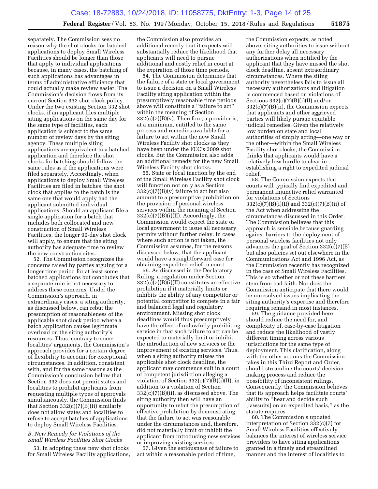separately. The Commission sees no reason why the shot clocks for batched applications to deploy Small Wireless Facilities should be longer than those that apply to individual applications because, in many cases, the batching of such applications has advantages in terms of administrative efficiency that could actually make review easier. The Commission's decision flows from its current Section 332 shot clock policy. Under the two existing Section 332 shot clocks, if an applicant files multiple siting applications on the same day for the same type of facilities, each application is subject to the same number of review days by the siting agency. These multiple siting applications are equivalent to a batched application and therefore the shot clocks for batching should follow the same rules as if the applications were filed separately. Accordingly, when applications to deploy Small Wireless Facilities are filed in batches, the shot clock that applies to the batch is the same one that would apply had the applicant submitted individual applications. Should an applicant file a single application for a batch that includes both collocated and new construction of Small Wireless Facilities, the longer 90-day shot clock will apply, to ensure that the siting authority has adequate time to review the new construction sites.

52. The Commission recognizes the concerns raised by parties arguing for a longer time period for at least some batched applications but concludes that a separate rule is not necessary to address these concerns. Under the Commission's approach, in extraordinary cases, a siting authority, as discussed below, can rebut the presumption of reasonableness of the applicable shot clock period where a batch application causes legitimate overload on the siting authority's resources. Thus, contrary to some localities' arguments, the Commission's approach provides for a certain degree of flexibility to account for exceptional circumstances. In addition, consistent with, and for the same reasons as the Commission's conclusion below that Section 332 does not permit states and localities to prohibit applicants from requesting multiple types of approvals simultaneously, the Commission finds that Section 332(c)(7)(B)(ii) similarly does not allow states and localities to refuse to accept batches of applications to deploy Small Wireless Facilities.

#### *B. New Remedy for Violations of the Small Wireless Facilities Shot Clocks*

53. In adopting these new shot clocks for Small Wireless Facility applications,

the Commission also provides an additional remedy that it expects will substantially reduce the likelihood that applicants will need to pursue additional and costly relief in court at the expiration of those time periods.

54. The Commission determines that the failure of a state or local government to issue a decision on a Small Wireless Facility siting application within the presumptively reasonable time periods above will constitute a ''failure to act'' within the meaning of Section  $332(c)(7)(B)(v)$ . Therefore, a provider is, at a minimum, entitled to the same process and remedies available for a failure to act within the new Small Wireless Facility shot clocks as they have been under the FCC's 2009 shot clocks. But the Commission also adds an additional remedy for the new Small Wireless Facility shot clocks.

55. State or local inaction by the end of the Small Wireless Facility shot clock will function not only as a Section  $332(c)(7)(B)(v)$  failure to act but also amount to a presumptive prohibition on the provision of personal wireless services within the meaning of Section  $332(c)(7)(B)(i)(II)$ . Accordingly, the Commission would expect the state or local government to issue all necessary permits without further delay. In cases where such action is not taken, the Commission assumes, for the reasons discussed below, that the applicant would have a straightforward case for obtaining expedited relief in court.

56. As discussed in the Declaratory Ruling, a regulation under Section 332(c)(7)(B)(i)(II) constitutes an effective prohibition if it materially limits or inhibits the ability of any competitor or potential competitor to compete in a fair and balanced legal and regulatory environment. Missing shot clock deadlines would thus presumptively have the effect of unlawfully prohibiting service in that such failure to act can be expected to materially limit or inhibit the introduction of new services or the improvement of existing services. Thus, when a siting authority misses the applicable shot clock deadline, the applicant may commence suit in a court of competent jurisdiction alleging a violation of Section  $332(c)(7)(B)(i)(II)$ , in addition to a violation of Section 332(c)(7)(B)(ii), as discussed above. The siting authority then will have an opportunity to rebut the presumption of effective prohibition by demonstrating that the failure to act was reasonable under the circumstances and, therefore, did not materially limit or inhibit the applicant from introducing new services or improving existing services.

57. Given the seriousness of failure to act within a reasonable period of time,

the Commission expects, as noted above, siting authorities to issue without any further delay all necessary authorizations when notified by the applicant that they have missed the shot clock deadline, absent extraordinary circumstances. Where the siting authority nevertheless fails to issue all necessary authorizations and litigation is commenced based on violations of Sections  $332(c)(7)(B)(i)(II)$  and/or 332(c)(7)(B)(ii), the Commission expects that applicants and other aggrieved parties will likely pursue equitable judicial remedies. Given the relatively low burden on state and local authorities of simply acting—one way or the other—within the Small Wireless Facility shot clocks, the Commission thinks that applicants would have a relatively low hurdle to clear in establishing a right to expedited judicial relief.

58. The Commission expects that courts will typically find expedited and permanent injunctive relief warranted for violations of Sections 332(c)(7)(B)(i)(II) and 332(c)(7)(B)(ii) of the Act when addressing the circumstances discussed in this Order. The Commission believes that this approach is sensible because guarding against barriers to the deployment of personal wireless facilities not only advances the goal of Section 332(c)(7)(B) but also policies set out elsewhere in the Communications Act and 1996 Act, as the Commission recently has recognized in the case of Small Wireless Facilities. This is so whether or not these barriers stem from bad faith. Nor does the Commission anticipate that there would be unresolved issues implicating the siting authority's expertise and therefore requiring remand in most instances.

59. The guidance provided here should reduce the need for, and complexity of, case-by-case litigation and reduce the likelihood of vastly different timing across various jurisdictions for the same type of deployment. This clarification, along with the other actions the Commission takes in this Third Report and Order, should streamline the courts' decisionmaking process and reduce the possibility of inconsistent rulings. Consequently, the Commission believes that its approach helps facilitate courts' ability to ''hear and decide such [lawsuits] on an expedited basis,'' as the statute requires.

60. The Commission's updated interpretation of Section 332(c)(7) for Small Wireless Facilities effectively balances the interest of wireless service providers to have siting applications granted in a timely and streamlined manner and the interest of localities to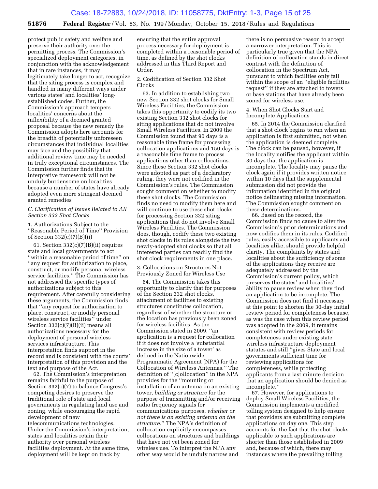protect public safety and welfare and preserve their authority over the permitting process. The Commission's specialized deployment categories, in conjunction with the acknowledgement that in rare instances, it may legitimately take longer to act, recognize that the siting process is complex and handled in many different ways under various states' and localities' longestablished codes. Further, the Commission's approach tempers localities' concerns about the inflexibility of a deemed granted proposal because the new remedy the Commission adopts here accounts for the breadth of potentially unforeseen circumstances that individual localities may face and the possibility that additional review time may be needed in truly exceptional circumstances. The Commission further finds that its interpretive framework will not be unduly burdensome on localities because a number of states have already adopted even more stringent deemed granted remedies

#### *C. Clarification of Issues Related to All Section 332 Shot Clocks*

1. Authorizations Subject to the ''Reasonable Period of Time'' Provision of Section 332(c)(7)(B)(ii)

61. Section  $332(c)(7)(B)(ii)$  requires state and local governments to act ''within a reasonable period of time'' on ''any request for authorization to place, construct, or modify personal wireless service facilities.'' The Commission has not addressed the specific types of authorizations subject to this requirement. After carefully considering these arguments, the Commission finds that ''any request for authorization to place, construct, or modify personal wireless service facilities'' under Section 332(c)(7)(B)(ii) means all authorizations necessary for the deployment of personal wireless services infrastructure. This interpretation finds support in the record and is consistent with the courts' interpretation of this provision and the text and purpose of the Act.

62. The Commission's interpretation remains faithful to the purpose of Section 332(c)(7) to balance Congress's competing desires to preserve the traditional role of state and local governments in regulating land use and zoning, while encouraging the rapid development of new telecommunications technologies. Under the Commission's interpretation, states and localities retain their authority over personal wireless facilities deployment. At the same time, deployment will be kept on track by

ensuring that the entire approval process necessary for deployment is completed within a reasonable period of time, as defined by the shot clocks addressed in this Third Report and Order.

2. Codification of Section 332 Shot Clocks

63. In addition to establishing two new Section 332 shot clocks for Small Wireless Facilities, the Commission takes this opportunity to codify its two existing Section 332 shot clocks for siting applications that do not involve Small Wireless Facilities. In 2009 the Commission found that 90 days is a reasonable time frame for processing collocation applications and 150 days is a reasonable time frame to process applications other than collocations. Since these Section 332 shot clocks were adopted as part of a declaratory ruling, they were not codified in the Commission's rules. The Commission sought comment on whether to modify these shot clocks. The Commission finds no need to modify them here and will continue to use these shot clocks for processing Section 332 siting applications that do not involve Small Wireless Facilities. The Commission does, though, codify these two existing shot clocks in its rules alongside the two newly-adopted shot clocks so that all interested parties can readily find the shot clock requirements in one place.

3. Collocations on Structures Not Previously Zoned for Wireless Use

64. The Commission takes this opportunity to clarify that for purposes of the Section 332 shot clocks, attachment of facilities to existing structures constitutes collocation, regardless of whether the structure or the location has previously been zoned for wireless facilities. As the Commission stated in 2009, ''an application is a request for collocation if it does not involve a 'substantial increase in the size of a tower' as defined in the Nationwide Programmatic Agreement (NPA) for the Collocation of Wireless Antennas.'' The definition of ''[c]ollocation'' in the NPA provides for the ''mounting or installation of an antenna on an existing tower, *building or structure* for the purpose of transmitting and/or receiving radio frequency signals for communications purposes, *whether or not there is an existing antenna on the structure.*'' The NPA's definition of collocation explicitly encompasses collocations on structures and buildings that have not yet been zoned for wireless use. To interpret the NPA any other way would be unduly narrow and

there is no persuasive reason to accept a narrower interpretation. This is particularly true given that the NPA definition of collocation stands in direct contrast with the definition of collocation in the Spectrum Act, pursuant to which facilities only fall within the scope of an ''eligible facilities request'' if they are attached to towers or base stations that have already been zoned for wireless use.

#### 4. When Shot Clocks Start and Incomplete Applications

65. In 2014 the Commission clarified that a shot clock begins to run when an application is first submitted, not when the application is deemed complete. The clock can be paused, however, if the locality notifies the applicant within 30 days that the application is incomplete. The locality may pause the clock again if it provides written notice within 10 days that the supplemental submission did not provide the information identified in the original notice delineating missing information. The Commission sought comment on these determinations.

66. Based on the record, the Commission finds no cause to alter the Commission's prior determinations and now codifies them in its rules. Codified rules, easily accessible to applicants and localities alike, should provide helpful clarity. The complaints by states and localities about the sufficiency of some of the applications they receive are adequately addressed by the Commission's current policy, which preserves the states' and localities' ability to pause review when they find an application to be incomplete. The Commission does not find it necessary at this point to shorten the 30-day initial review period for completeness because, as was the case when this review period was adopted in the 2009, it remains consistent with review periods for completeness under existing state wireless infrastructure deployment statutes and still ''gives State and local governments sufficient time for reviewing applications for completeness, while protecting applicants from a last minute decision that an application should be denied as incomplete.''

67. However, for applications to deploy Small Wireless Facilities, the Commission implements a modified tolling system designed to help ensure that providers are submitting complete applications on day one. This step accounts for the fact that the shot clocks applicable to such applications are shorter than those established in 2009 and, because of which, there may instances where the prevailing tolling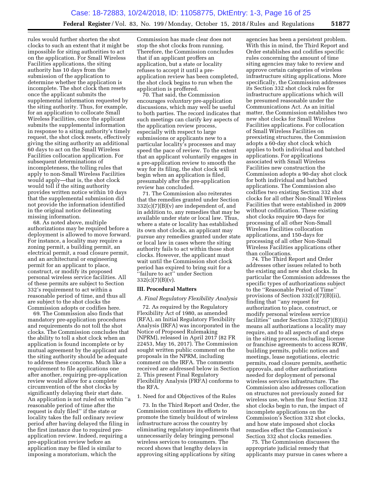rules would further shorten the shot clocks to such an extent that it might be impossible for siting authorities to act on the application. For Small Wireless Facilities applications, the siting authority has 10 days from the submission of the application to determine whether the application is incomplete. The shot clock then resets once the applicant submits the supplemental information requested by the siting authority. Thus, for example, for an application to collocate Small Wireless Facilities, once the applicant submits the supplemental information in response to a siting authority's timely request, the shot clock resets, effectively giving the siting authority an additional 60 days to act on the Small Wireless Facilities collocation application. For subsequent determinations of incompleteness, the tolling rules that apply to non-Small Wireless Facilities would apply—that is, the shot clock would toll if the siting authority provides written notice within 10 days that the supplemental submission did not provide the information identified in the original notice delineating missing information.

68. As noted above, multiple authorizations may be required before a deployment is allowed to move forward. For instance, a locality may require a zoning permit, a building permit, an electrical permit, a road closure permit, and an architectural or engineering permit for an applicant to place, construct, or modify its proposed personal wireless service facilities. All of these permits are subject to Section 332's requirement to act within a reasonable period of time, and thus all are subject to the shot clocks the Commission adopts or codifies here.

69. The Commission also finds that mandatory pre-application procedures and requirements do not toll the shot clocks. The Commission concludes that the ability to toll a shot clock when an application is found incomplete or by mutual agreement by the applicant and the siting authority should be adequate to address these concerns. Much like a requirement to file applications one after another, requiring pre-application review would allow for a complete circumvention of the shot clocks by significantly delaying their start date. An application is not ruled on within ''a reasonable period of time after the request is duly filed'' if the state or locality takes the full ordinary review period after having delayed the filing in the first instance due to required preapplication review. Indeed, requiring a pre-application review before an application may be filed is similar to imposing a moratorium, which the

Commission has made clear does not stop the shot clocks from running. Therefore, the Commission concludes that if an applicant proffers an application, but a state or locality refuses to accept it until a preapplication review has been completed, the shot clock begins to run when the application is proffered.

70. That said, the Commission encourages *voluntary* pre-application discussions, which may well be useful to both parties. The record indicates that such meetings can clarify key aspects of the application review process, especially with respect to large submissions or applicants new to a particular locality's processes and may speed the pace of review. To the extent that an applicant voluntarily engages in a pre-application review to smooth the way for its filing, the shot clock will begin when an application is filed, presumably after the pre-application review has concluded.

71. The Commission also reiterates that the remedies granted under Section  $332(c)(7)(B)(v)$  are independent of, and in addition to, any remedies that may be available under state or local law. Thus, where a state or locality has established its own shot clocks, an applicant may pursue any remedies granted under state or local law in cases where the siting authority fails to act within those shot clocks. However, the applicant must wait until the Commission shot clock period has expired to bring suit for a ''failure to act'' under Section  $332(c)(7)(B)(v)$ .

#### **III. Procedural Matters**

#### *A. Final Regulatory Flexibility Analysis*

72. As required by the Regulatory Flexibility Act of 1980, as amended (RFA), an Initial Regulatory Flexibility Analysis (IRFA) was incorporated in the Notice of Proposed Rulemaking (NPRM), released in April 2017 (82 FR 22453, May 16, 2017). The Commission sought written public comment on the proposals in the NPRM, including comment on the IRFA. The comments received are addressed below in Section 2. This present Final Regulatory Flexibility Analysis (FRFA) conforms to the RFA.

#### 1. Need for and Objectives of the Rules

73. In the Third Report and Order, the Commission continues its efforts to promote the timely buildout of wireless infrastructure across the country by eliminating regulatory impediments that unnecessarily delay bringing personal wireless services to consumers. The record shows that lengthy delays in approving siting applications by siting

agencies has been a persistent problem. With this in mind, the Third Report and Order establishes and codifies specific rules concerning the amount of time siting agencies may take to review and approve certain categories of wireless infrastructure siting applications. More specifically, the Commission addresses its Section 332 shot clock rules for infrastructure applications which will be presumed reasonable under the Communications Act. As an initial matter, the Commission establishes two new shot clocks for Small Wireless Facilities applications. For collocation of Small Wireless Facilities on preexisting structures, the Commission adopts a 60-day shot clock which applies to both individual and batched applications. For applications associated with Small Wireless Facilities new construction the Commission adopts a 90-day shot clock for both individual and batched applications. The Commission also codifies two existing Section 332 shot clocks for all other Non-Small Wireless Facilities that were established in 2009 without codification. These existing shot clocks require 90-days for processing of all other Non-Small Wireless Facilities collocation applications, and 150-days for processing of all other Non-Small Wireless Facilities applications other than collocations.

74. The Third Report and Order addresses other issues related to both the existing and new shot clocks. In particular the Commission addresses the specific types of authorizations subject to the ''Reasonable Period of Time'' provisions of Section 332(c)(7)(B)(ii), finding that ''any request for authorization to place, construct, or modify personal wireless service facilities'' under Section 332(c)(7)(B)(ii) means all authorizations a locality may require, and to all aspects of and steps in the siting process, including license or franchise agreements to access ROW, building permits, public notices and meetings, lease negotiations, electric permits, road closure permits, aesthetic approvals, and other authorizations needed for deployment of personal wireless services infrastructure. The Commission also addresses collocation on structures not previously zoned for wireless use, when the four Section 332 shot clocks begin to run, the impact of incomplete applications on the Commission's Section 332 shot clocks, and how state imposed shot clocks remedies effect the Commission's Section 332 shot clocks remedies.

75. The Commission discusses the appropriate judicial remedy that applicants may pursue in cases where a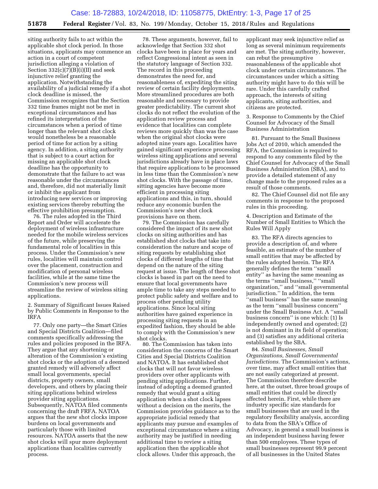siting authority fails to act within the applicable shot clock period. In those situations, applicants may commence an action in a court of competent jurisdiction alleging a violation of Section  $332(c)(7)(B)(i)(II)$  and seek injunctive relief granting the application. Notwithstanding the availability of a judicial remedy if a shot clock deadline is missed, the Commission recognizes that the Section 332 time frames might not be met in exceptional circumstances and has refined its interpretation of the circumstances when a period of time longer than the relevant shot clock would nonetheless be a reasonable period of time for action by a siting agency. In addition, a siting authority that is subject to a court action for missing an applicable shot clock deadline has the opportunity to demonstrate that the failure to act was reasonable under the circumstances and, therefore, did not materially limit or inhibit the applicant from introducing new services or improving existing services thereby rebutting the effective prohibition presumption.

76. The rules adopted in the Third Report and Order will accelerate the deployment of wireless infrastructure needed for the mobile wireless services of the future, while preserving the fundamental role of localities in this process. Under the Commission's new rules, localities will maintain control over the placement, construction and modification of personal wireless facilities, while at the same time the Commission's new process will streamline the review of wireless siting applications.

2. Summary of Significant Issues Raised by Public Comments in Response to the IRFA

77. Only one party—the Smart Cities and Special Districts Coalition—filed comments specifically addressing the rules and policies proposed in the IRFA. They argue that any shortening or alteration of the Commission's existing shot clocks or the adoption of a deemed granted remedy will adversely affect small local governments, special districts, property owners, small developers, and others by placing their siting applications behind wireless provider siting applications. Subsequently, NATOA filed comments concerning the draft FRFA. NATOA argues that the new shot clocks impose burdens on local governments and particularly those with limited resources. NATOA asserts that the new shot clocks will spur more deployment applications than localities currently process.

78. These arguments, however, fail to acknowledge that Section 332 shot clocks have been in place for years and reflect Congressional intent as seen in the statutory language of Section 332. The record in this proceeding demonstrates the need for, and reasonableness of, expediting the siting review of certain facility deployments. More streamlined procedures are both reasonable and necessary to provide greater predictability. The current shot clocks do not reflect the evolution of the application review process and evidence that localities can complete reviews more quickly than was the case when the original shot clocks were adopted nine years ago. Localities have gained significant experience processing wireless siting applications and several jurisdictions already have in place laws that require applications to be processed in less time than the Commission's new shot clocks. With the passage of time, sitting agencies have become more efficient in processing siting applications and this, in turn, should reduce any economic burden the Commission's new shot clock provisions have on them.

79. The Commission has carefully considered the impact of its new shot clocks on siting authorities and has established shot clocks that take into consideration the nature and scope of siting requests by establishing shot clocks of different lengths of time that depend on the nature of the siting request at issue. The length of these shot clocks is based in part on the need to ensure that local governments have ample time to take any steps needed to protect public safety and welfare and to process other pending utility applications. Since local siting authorities have gained experience in processing siting requests in an expedited fashion, they should be able to comply with the Commission's new shot clocks.

80. The Commission has taken into consideration the concerns of the Smart Cities and Special Districts Coalition and NATOA. It has established shot clocks that will not favor wireless providers over other applicants with pending siting applications. Further, instead of adopting a deemed granted remedy that would grant a siting application when a shot clock lapses without a decision on the merits, the Commission provides guidance as to the appropriate judicial remedy that applicants may pursue and examples of exceptional circumstance where a siting authority may be justified in needing additional time to review a siting application then the applicable shot clock allows. Under this approach, the

applicant may seek injunctive relief as long as several minimum requirements are met. The siting authority, however, can rebut the presumptive reasonableness of the applicable shot clock under certain circumstances. The circumstances under which a sitting authority might have to do this will be rare. Under this carefully crafted approach, the interests of siting applicants, siting authorities, and citizens are protected.

3. Response to Comments by the Chief Counsel for Advocacy of the Small Business Administration

81. Pursuant to the Small Business Jobs Act of 2010, which amended the RFA, the Commission is required to respond to any comments filed by the Chief Counsel for Advocacy of the Small Business Administration (SBA), and to provide a detailed statement of any change made to the proposed rules as a result of those comments.

82. The Chief Counsel did not file any comments in response to the proposed rules in this proceeding.

4. Description and Estimate of the Number of Small Entities to Which the Rules Will Apply

83. The RFA directs agencies to provide a description of, and where feasible, an estimate of the number of small entities that may be affected by the rules adopted herein. The RFA generally defines the term ''small entity'' as having the same meaning as the terms ''small business,'' ''small organization,'' and ''small governmental jurisdiction.'' In addition, the term ''small business'' has the same meaning as the term ''small business concern'' under the Small Business Act. A ''small business concern'' is one which: (1) Is independently owned and operated; (2) is not dominant in its field of operation; and (3) satisfies any additional criteria established by the SBA.

84. *Small Businesses, Small Organizations, Small Governmental Jurisdictions.* The Commission's actions, over time, may affect small entities that are not easily categorized at present. The Commission therefore describe here, at the outset, three broad groups of small entities that could be directly affected herein. First, while there are industry specific size standards for small businesses that are used in the regulatory flexibility analysis, according to data from the SBA's Office of Advocacy, in general a small business is an independent business having fewer than 500 employees. These types of small businesses represent 99.9 percent of all businesses in the United States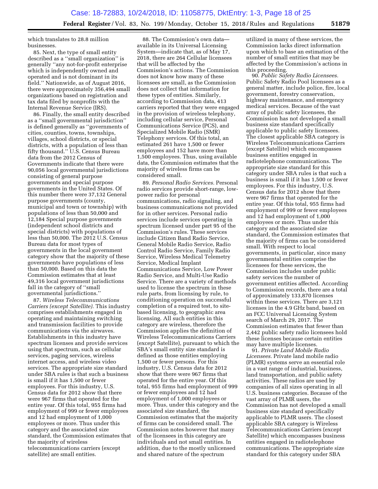which translates to 28.8 million businesses.

85. Next, the type of small entity described as a ''small organization'' is generally ''any not-for-profit enterprise which is independently owned and operated and is not dominant in its field.'' Nationwide, as of August 2016, there were approximately 356,494 small organizations based on registration and tax data filed by nonprofits with the Internal Revenue Service (IRS).

86. Finally, the small entity described as a ''small governmental jurisdiction'' is defined generally as ''governments of cities, counties, towns, townships, villages, school districts, or special districts, with a population of less than fifty thousand.'' U.S. Census Bureau data from the 2012 Census of Governments indicate that there were 90,056 local governmental jurisdictions consisting of general purpose governments and special purpose governments in the United States. Of this number there were 37,132 General purpose governments (county, municipal and town or township) with populations of less than 50,000 and 12,184 Special purpose governments (independent school districts and special districts) with populations of less than 50,000. The 2012 U.S. Census Bureau data for most types of governments in the local government category show that the majority of these governments have populations of less than 50,000. Based on this data the Commission estimates that at least 49,316 local government jurisdictions fall in the category of ''small governmental jurisdictions.''

87. *Wireless Telecommunications Carriers (except Satellite).* This industry comprises establishments engaged in operating and maintaining switching and transmission facilities to provide communications via the airwaves. Establishments in this industry have spectrum licenses and provide services using that spectrum, such as cellular services, paging services, wireless internet access, and wireless video services. The appropriate size standard under SBA rules is that such a business is small if it has 1,500 or fewer employees. For this industry, U.S. Census data for 2012 show that there were 967 firms that operated for the entire year. Of this total, 955 firms had employment of 999 or fewer employees and 12 had employment of 1,000 employees or more. Thus under this category and the associated size standard, the Commission estimates that the majority of wireless telecommunications carriers (except satellite) are small entities.

88. The Commission's own data available in its Universal Licensing System—indicate that, as of May 17, 2018, there are 264 Cellular licensees that will be affected by the Commission's actions. The Commission does not know how many of these licensees are small, as the Commission does not collect that information for these types of entities. Similarly, according to Commission data, 413 carriers reported that they were engaged in the provision of wireless telephony, including cellular service, Personal Communications Service (PCS), and Specialized Mobile Radio (SMR) Telephony services. Of this total, an estimated 261 have 1,500 or fewer employees and 152 have more than 1,500 employees. Thus, using available data, the Commission estimates that the majority of wireless firms can be considered small.

89. *Personal Radio Services.* Personal radio services provide short-range, lowpower radio for personal communications, radio signaling, and business communications not provided for in other services. Personal radio services include services operating in spectrum licensed under part 95 of the Commission's rules. These services include Citizen Band Radio Service, General Mobile Radio Service, Radio Control Radio Service, Family Radio Service, Wireless Medical Telemetry Service, Medical Implant Communications Service, Low Power Radio Service, and Multi-Use Radio Service. There are a variety of methods used to license the spectrum in these rule parts, from licensing by rule, to conditioning operation on successful completion of a required test, to sitebased licensing, to geographic area licensing. All such entities in this category are wireless, therefore the Commission applies the definition of Wireless Telecommunications Carriers (except Satellite), pursuant to which the SBA's small entity size standard is defined as those entities employing 1,500 or fewer persons. For this industry, U.S. Census data for 2012 show that there were 967 firms that operated for the entire year. Of this total, 955 firms had employment of 999 or fewer employees and 12 had employment of 1,000 employees or more. Thus, under this category and the associated size standard, the Commission estimates that the majority of firms can be considered small. The Commission notes however that many of the licensees in this category are individuals and not small entities. In addition, due to the mostly unlicensed and shared nature of the spectrum

utilized in many of these services, the Commission lacks direct information upon which to base an estimation of the number of small entities that may be affected by the Commission's actions in this proceeding.

90. *Public Safety Radio Licensees.*  Public Safety Radio Pool licensees as a general matter, include police, fire, local government, forestry conservation, highway maintenance, and emergency medical services. Because of the vast array of public safety licensees, the Commission has not developed a small business size standard specifically applicable to public safety licensees. The closest applicable SBA category is Wireless Telecommunications Carriers (except Satellite) which encompasses business entities engaged in radiotelephone communications. The appropriate size standard for this category under SBA rules is that such a business is small if it has 1,500 or fewer employees. For this industry, U.S. Census data for 2012 show that there were 967 firms that operated for the entire year. Of this total, 955 firms had employment of 999 or fewer employees and 12 had employment of 1,000 employees or more. Thus under this category and the associated size standard, the Commission estimates that the majority of firms can be considered small. With respect to local governments, in particular, since many governmental entities comprise the licensees for these services, the Commission includes under public safety services the number of government entities affected. According to Commission records, there are a total of approximately 133,870 licenses within these services. There are 3,121 licenses in the 4.9 GHz band, based on an FCC Universal Licensing System search of March 29, 2017. The Commission estimates that fewer than 2,442 public safety radio licensees hold these licenses because certain entities may have multiple licenses.

91. *Private Land Mobile Radio Licensees.* Private land mobile radio (PLMR) systems serve an essential role in a vast range of industrial, business, land transportation, and public safety activities. These radios are used by companies of all sizes operating in all U.S. business categories. Because of the vast array of PLMR users, the Commission has not developed a small business size standard specifically applicable to PLMR users. The closest applicable SBA category is Wireless Telecommunications Carriers (except Satellite) which encompasses business entities engaged in radiotelephone communications. The appropriate size standard for this category under SBA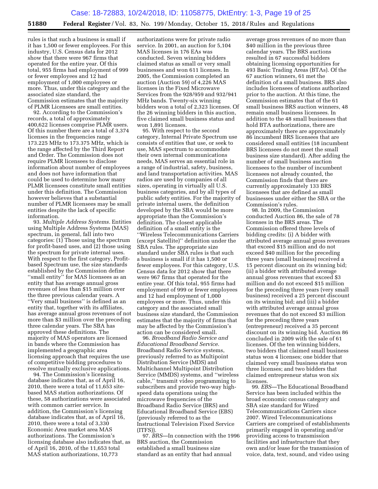rules is that such a business is small if it has 1,500 or fewer employees. For this industry, U.S. Census data for 2012 show that there were 967 firms that operated for the entire year. Of this total, 955 firms had employment of 999 or fewer employees and 12 had employment of 1,000 employees or more. Thus, under this category and the associated size standard, the Commission estimates that the majority of PLMR Licensees are small entities.

92. According to the Commission's records, a total of approximately 400,622 licenses comprise PLMR users. Of this number there are a total of 3,374 licenses in the frequencies range 173.225 MHz to 173.375 MHz, which is the range affected by the Third Report and Order. The Commission does not require PLMR licensees to disclose information about number of employees and does not have information that could be used to determine how many PLMR licensees constitute small entities under this definition. The Commission however believes that a substantial number of PLMR licensees may be small entities despite the lack of specific information.

93. *Multiple Address Systems.* Entities using Multiple Address Systems (MAS) spectrum, in general, fall into two categories: (1) Those using the spectrum for profit-based uses, and (2) those using the spectrum for private internal uses. With respect to the first category, Profitbased Spectrum use, the size standards established by the Commission define ''small entity'' for MAS licensees as an entity that has average annual gross revenues of less than \$15 million over the three previous calendar years. A ''Very small business'' is defined as an entity that, together with its affiliates, has average annual gross revenues of not more than \$3 million over the preceding three calendar years. The SBA has approved these definitions. The majority of MAS operators are licensed in bands where the Commission has implemented a geographic area licensing approach that requires the use of competitive bidding procedures to resolve mutually exclusive applications.

94. The Commission's licensing database indicates that, as of April 16, 2010, there were a total of 11,653 sitebased MAS station authorizations. Of these, 58 authorizations were associated with common carrier service. In addition, the Commission's licensing database indicates that, as of April 16, 2010, there were a total of 3,330 Economic Area market area MAS authorizations. The Commission's licensing database also indicates that, as of April 16, 2010, of the 11,653 total MAS station authorizations, 10,773

authorizations were for private radio service. In 2001, an auction for 5,104 MAS licenses in 176 EAs was conducted. Seven winning bidders claimed status as small or very small businesses and won 611 licenses. In 2005, the Commission completed an auction (Auction 59) of 4,226 MAS licenses in the Fixed Microwave Services from the 928/959 and 932/941 MHz bands. Twenty-six winning bidders won a total of 2,323 licenses. Of the 26 winning bidders in this auction, five claimed small business status and won 1,891 licenses.

95. With respect to the second category, Internal Private Spectrum use consists of entities that use, or seek to use, MAS spectrum to accommodate their own internal communications needs, MAS serves an essential role in a range of industrial, safety, business, and land transportation activities. MAS radios are used by companies of all sizes, operating in virtually all U.S. business categories, and by all types of public safety entities. For the majority of private internal users, the definition developed by the SBA would be more appropriate than the Commission's definition. The closest applicable definition of a small entity is the ''Wireless Telecommunications Carriers (except Satellite)'' definition under the SBA rules. The appropriate size standard under SBA rules is that such a business is small if it has 1,500 or fewer employees. For this category, U.S. Census data for 2012 show that there were 967 firms that operated for the entire year. Of this total, 955 firms had employment of 999 or fewer employees and 12 had employment of 1,000 employees or more. Thus, under this category and the associated small business size standard, the Commission estimates that the majority of firms that may be affected by the Commission's action can be considered small.

96. *Broadband Radio Service and Educational Broadband Service.*  Broadband Radio Service systems, previously referred to as Multipoint Distribution Service (MDS) and Multichannel Multipoint Distribution Service (MMDS) systems, and ''wireless cable,'' transmit video programming to subscribers and provide two-way highspeed data operations using the microwave frequencies of the Broadband Radio Service (BRS) and Educational Broadband Service (EBS) (previously referred to as the Instructional Television Fixed Service (ITFS)).

97. *BRS*—In connection with the 1996 BRS auction, the Commission established a small business size standard as an entity that had annual

average gross revenues of no more than \$40 million in the previous three calendar years. The BRS auctions resulted in 67 successful bidders obtaining licensing opportunities for 493 Basic Trading Areas (BTAs). Of the 67 auction winners, 61 met the definition of a small business. BRS also includes licensees of stations authorized prior to the auction. At this time, the Commission estimates that of the 61 small business BRS auction winners, 48 remain small business licensees. In addition to the 48 small businesses that hold BTA authorizations, there are approximately there are approximately 86 incumbent BRS licensees that are considered small entities (18 incumbent BRS licensees do not meet the small business size standard). After adding the number of small business auction licensees to the number of incumbent licensees not already counted, the Commission finds that there are currently approximately 133 BRS licensees that are defined as small businesses under either the SBA or the Commission's rules.

98. In 2009, the Commission conducted Auction 86, the sale of 78 licenses in the BRS areas. The Commission offered three levels of bidding credits: (i) A bidder with attributed average annual gross revenues that exceed \$15 million and do not exceed \$40 million for the preceding three years (small business) received a 15 percent discount on its winning bid; (ii) a bidder with attributed average annual gross revenues that exceed \$3 million and do not exceed \$15 million for the preceding three years (very small business) received a 25 percent discount on its winning bid; and (iii) a bidder with attributed average annual gross revenues that do not exceed \$3 million for the preceding three years (entrepreneur) received a 35 percent discount on its winning bid. Auction 86 concluded in 2009 with the sale of 61 licenses. Of the ten winning bidders, two bidders that claimed small business status won 4 licenses; one bidder that claimed very small business status won three licenses; and two bidders that claimed entrepreneur status won six licenses.

99. *EBS*—The Educational Broadband Service has been included within the broad economic census category and SBA size standard for Wired Telecommunications Carriers since 2007. Wired Telecommunications Carriers are comprised of establishments primarily engaged in operating and/or providing access to transmission facilities and infrastructure that they own and/or lease for the transmission of voice, data, text, sound, and video using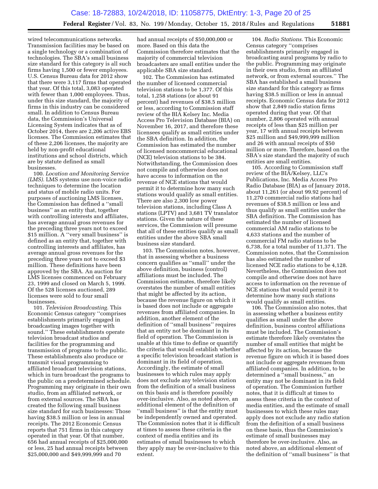wired telecommunications networks. Transmission facilities may be based on a single technology or a combination of technologies. The SBA's small business size standard for this category is all such firms having 1,500 or fewer employees. U.S. Census Bureau data for 2012 show that there were 3,117 firms that operated that year. Of this total, 3,083 operated with fewer than 1,000 employees. Thus, under this size standard, the majority of firms in this industry can be considered small. In addition to Census Bureau data, the Commission's Universal Licensing System indicates that as of October 2014, there are 2,206 active EBS licenses. The Commission estimates that of these 2,206 licenses, the majority are held by non-profit educational institutions and school districts, which are by statute defined as small businesses.

100. *Location and Monitoring Service (LMS).* LMS systems use non-voice radio techniques to determine the location and status of mobile radio units. For purposes of auctioning LMS licenses, the Commission has defined a ''small business'' as an entity that, together with controlling interests and affiliates, has average annual gross revenues for the preceding three years not to exceed \$15 million. A ''very small business'' is defined as an entity that, together with controlling interests and affiliates, has average annual gross revenues for the preceding three years not to exceed \$3 million. These definitions have been approved by the SBA. An auction for LMS licenses commenced on February 23, 1999 and closed on March 5, 1999. Of the 528 licenses auctioned, 289 licenses were sold to four small businesses.

101. *Television Broadcasting.* This Economic Census category ''comprises establishments primarily engaged in broadcasting images together with sound.'' These establishments operate television broadcast studios and facilities for the programming and transmission of programs to the public. These establishments also produce or transmit visual programming to affiliated broadcast television stations, which in turn broadcast the programs to the public on a predetermined schedule. Programming may originate in their own studio, from an affiliated network, or from external sources. The SBA has created the following small business size standard for such businesses: Those having \$38.5 million or less in annual receipts. The 2012 Economic Census reports that 751 firms in this category operated in that year. Of that number, 656 had annual receipts of \$25,000,000 or less, 25 had annual receipts between \$25,000,000 and \$49,999,999 and 70

had annual receipts of \$50,000,000 or more. Based on this data the Commission therefore estimates that the majority of commercial television broadcasters are small entities under the applicable SBA size standard.

102. The Commission has estimated the number of licensed commercial television stations to be 1,377. Of this total, 1,258 stations (or about 91 percent) had revenues of \$38.5 million or less, according to Commission staff review of the BIA Kelsey Inc. Media Access Pro Television Database (BIA) on November 16, 2017, and therefore these licensees qualify as small entities under the SBA definition. In addition, the Commission has estimated the number of licensed noncommercial educational (NCE) television stations to be 384. Notwithstanding, the Commission does not compile and otherwise does not have access to information on the revenue of NCE stations that would permit it to determine how many such stations would qualify as small entities. There are also 2,300 low power television stations, including Class A stations (LPTV) and 3,681 TV translator stations. Given the nature of these services, the Commission will presume that all of these entities qualify as small entities under the above SBA small business size standard.

103. The Commission notes, however, that in assessing whether a business concern qualifies as ''small'' under the above definition, business (control) affiliations must be included. The Commission estimates, therefore likely overstates the number of small entities that might be affected by its action, because the revenue figure on which it is based does not include or aggregate revenues from affiliated companies. In addition, another element of the definition of ''small business'' requires that an entity not be dominant in its field of operation. The Commission is unable at this time to define or quantify the criteria that would establish whether a specific television broadcast station is dominant in its field of operation. Accordingly, the estimate of small businesses to which rules may apply does not exclude any television station from the definition of a small business on this basis and is therefore possibly over-inclusive. Also, as noted above, an additional element of the definition of ''small business'' is that the entity must be independently owned and operated. The Commission notes that it is difficult at times to assess these criteria in the context of media entities and its estimates of small businesses to which they apply may be over-inclusive to this extent.

104. *Radio Stations.* This Economic Census category ''comprises establishments primarily engaged in broadcasting aural programs by radio to the public. Programming may originate in their own studio, from an affiliated network, or from external sources.'' The SBA has established a small business size standard for this category as firms having \$38.5 million or less in annual receipts. Economic Census data for 2012 show that 2,849 radio station firms operated during that year. Of that number, 2,806 operated with annual receipts of less than \$25 million per year, 17 with annual receipts between \$25 million and \$49,999,999 million and 26 with annual receipts of \$50 million or more. Therefore, based on the SBA's size standard the majority of such entities are small entities.

105. According to Commission staff review of the BIA/Kelsey, LLC's Publications, Inc. Media Access Pro Radio Database (BIA) as of January 2018, about 11,261 (or about 99.92 percent) of 11,270 commercial radio stations had revenues of \$38.5 million or less and thus qualify as small entities under the SBA definition. The Commission has estimated the number of licensed commercial AM radio stations to be 4,633 stations and the number of commercial FM radio stations to be 6,738, for a total number of 11,371. The Commission notes, that the Commission has also estimated the number of licensed NCE radio stations to be 4,128. Nevertheless, the Commission does not compile and otherwise does not have access to information on the revenue of NCE stations that would permit it to determine how many such stations would qualify as small entities.

106. The Commission also notes, that in assessing whether a business entity qualifies as small under the above definition, business control affiliations must be included. The Commission's estimate therefore likely overstates the number of small entities that might be affected by its action, because the revenue figure on which it is based does not include or aggregate revenues from affiliated companies. In addition, to be determined a ''small business,'' an entity may not be dominant in its field of operation. The Commission further notes, that it is difficult at times to assess these criteria in the context of media entities, and the estimate of small businesses to which these rules may apply does not exclude any radio station from the definition of a small business on these basis, thus the Commission's estimate of small businesses may therefore be over-inclusive. Also, as noted above, an additional element of the definition of ''small business'' is that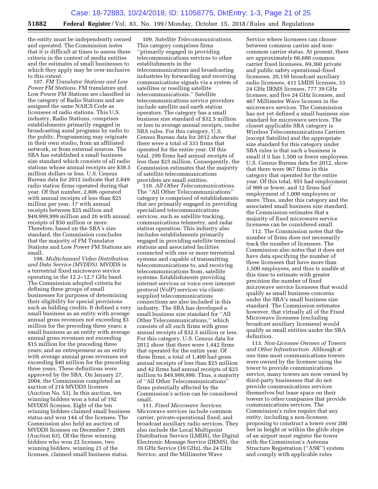the entity must be independently owned and operated. The Commission notes that it is difficult at times to assess these criteria in the context of media entities and the estimates of small businesses to which they apply may be over-inclusive to this extent.

107. *FM Translator Stations and Low Power FM Stations.* FM translators and Low Power FM Stations are classified in the category of Radio Stations and are assigned the same NAICS Code as licensees of radio stations. This U.S. industry, Radio Stations, comprises establishments primarily engaged in broadcasting aural programs by radio to the public. Programming may originate in their own studio, from an affiliated network, or from external sources. The SBA has established a small business size standard which consists of all radio stations whose annual receipts are \$38.5 million dollars or less. U.S. Census Bureau data for 2012 indicate that 2,849 radio station firms operated during that year. Of that number, 2,806 operated with annual receipts of less than \$25 million per year, 17 with annual receipts between \$25 million and \$49,999,999 million and 26 with annual receipts of \$50 million or more. Therefore, based on the SBA's size standard, the Commission concludes that the majority of FM Translator Stations and Low Power FM Stations are small.

108. *Multichannel Video Distribution and Data Service (MVDDS).* MVDDS is a terrestrial fixed microwave service operating in the 12.2–12.7 GHz band. The Commission adopted criteria for defining three groups of small businesses for purposes of determining their eligibility for special provisions such as bidding credits. It defined a very small business as an entity with average annual gross revenues not exceeding \$3 million for the preceding three years; a small business as an entity with average annual gross revenues not exceeding \$15 million for the preceding three years; and an entrepreneur as an entity with average annual gross revenues not exceeding \$40 million for the preceding three years. These definitions were approved by the SBA. On January 27, 2004, the Commission completed an auction of 214 MVDDS licenses (Auction No. 53). In this auction, ten winning bidders won a total of 192 MVDDS licenses. Eight of the ten winning bidders claimed small business status and won 144 of the licenses. The Commission also held an auction of MVDDS licenses on December 7, 2005 (Auction 63). Of the three winning bidders who won 22 licenses, two winning bidders, winning 21 of the licenses, claimed small business status.

109. *Satellite Telecommunications.*  This category comprises firms ''primarily engaged in providing telecommunications services to other establishments in the telecommunications and broadcasting industries by forwarding and receiving communications signals via a system of satellites or reselling satellite telecommunications.'' Satellite telecommunications service providers include satellite and earth station operators. The category has a small business size standard of \$32.5 million or less in average annual receipts, under SBA rules. For this category, U.S. Census Bureau data for 2012 show that there were a total of 333 firms that operated for the entire year. Of this total, 299 firms had annual receipts of less than \$25 million. Consequently, the Commission estimates that the majority of satellite telecommunications providers are small entities.

110. *All Other Telecommunications.*  The ''All Other Telecommunications'' category is comprised of establishments that are primarily engaged in providing specialized telecommunications services, such as satellite tracking, communications telemetry, and radar station operation. This industry also includes establishments primarily engaged in providing satellite terminal stations and associated facilities connected with one or more terrestrial systems and capable of transmitting telecommunications to, and receiving telecommunications from, satellite systems. Establishments providing internet services or voice over internet protocol (VoIP) services via clientsupplied telecommunications connections are also included in this industry. The SBA has developed a small business size standard for ''All Other Telecommunications,'' which consists of all such firms with gross annual receipts of \$32.5 million or less. For this category, U.S. Census data for 2012 show that there were 1,442 firms that operated for the entire year. Of these firms, a total of 1,400 had gross annual receipts of less than \$25 million and 42 firms had annual receipts of \$25 million to \$49,999,999. Thus, a majority of ''All Other Telecommunications'' firms potentially affected by the Commission's action can be considered small.

111. *Fixed Microwave Services.*  Microwave services include common carrier, private-operational fixed, and broadcast auxiliary radio services. They also include the Local Multipoint Distribution Service (LMDS), the Digital Electronic Message Service (DEMS), the 39 GHz Service (39 GHz), the 24 GHz Service, and the Millimeter Wave

Service where licensees can choose between common carrier and noncommon carrier status. At present, there are approximately 66,680 common carrier fixed licensees, 69,360 private and public safety operational-fixed licensees, 20,150 broadcast auxiliary radio licensees, 411 LMDS licenses, 33 24 GHz DEMS licenses, 777 39 GHz licenses, and five 24 GHz licenses, and 467 Millimeter Wave licenses in the microwave services. The Commission has not yet defined a small business size standard for microwave services. The closest applicable SBA category is Wireless Telecommunications Carriers (except Satellite) and the appropriate size standard for this category under SBA rules is that such a business is small if it has 1,500 or fewer employees. U.S. Census Bureau data for 2012, show that there were 967 firms in this category that operated for the entire year. Of this total, 955 had employment of 999 or fewer, and 12 firms had employment of 1,000 employees or more. Thus, under this category and the associated small business size standard, the Commission estimates that a majority of fixed microwave service licensees can be considered small.

112. The Commission notes that the number of firms does not necessarily track the number of licensees. The Commission also notes that it does not have data specifying the number of these licensees that have more than 1,500 employees, and thus is unable at this time to estimate with greater precision the number of fixed microwave service licensees that would qualify as small business concerns under the SBA's small business size standard. The Commission estimates however, that virtually all of the Fixed Microwave licensees (excluding broadcast auxiliary licensees) would qualify as small entities under the SBA definition.

113. *Non-Licensee Owners of Towers and Other Infrastructure.* Although at one time most communications towers were owned by the licensee using the tower to provide communications service, many towers are now owned by third-party businesses that do not provide communications services themselves but lease space on their towers to other companies that provide communications services. The Commission's rules require that any entity, including a non-licensee, proposing to construct a tower over 200 feet in height or within the glide slope of an airport must register the tower with the Commission's Antenna Structure Registration (''ASR'') system and comply with applicable rules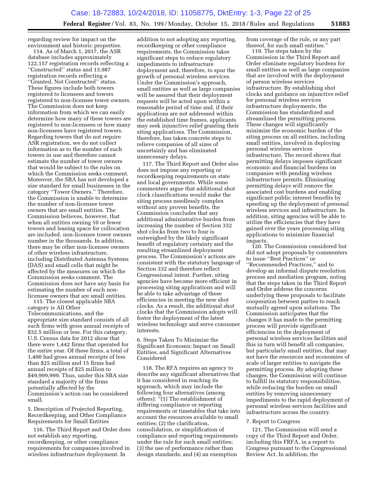regarding review for impact on the environment and historic properties.

114. As of March 1, 2017, the ASR database includes approximately 122,157 registration records reflecting a ''Constructed'' status and 13,987 registration records reflecting a ''Granted, Not Constructed'' status. These figures include both towers registered to licensees and towers registered to non-licensee tower owners. The Commission does not keep information from which we can easily determine how many of these towers are registered to non-licensees or how many non-licensees have registered towers. Regarding towers that do not require ASR registration, we do not collect information as to the number of such towers in use and therefore cannot estimate the number of tower owners that would be subject to the rules on which the Commission seeks comment. Moreover, the SBA has not developed a size standard for small businesses in the category ''Tower Owners.'' Therefore, the Commission is unable to determine the number of non-licensee tower owners that are small entities. The Commission believes, however, that when all entities owning 10 or fewer towers and leasing space for collocation are included, non-licensee tower owners number in the thousands. In addition, there may be other non-licensee owners of other wireless infrastructure, including Distributed Antenna Systems (DAS) and small cells that might be affected by the measures on which the Commission seeks comment. The Commission does not have any basis for estimating the number of such nonlicensee owners that are small entities.

115. The closest applicable SBA category is All Other Telecommunications, and the appropriate size standard consists of all such firms with gross annual receipts of \$32.5 million or less. For this category, U.S. Census data for 2012 show that there were 1,442 firms that operated for the entire year. Of these firms, a total of 1,400 had gross annual receipts of less than \$25 million and 15 firms had annual receipts of \$25 million to \$49,999,999. Thus, under this SBA size standard a majority of the firms potentially affected by the Commission's action can be considered small.

5. Description of Projected Reporting, Recordkeeping, and Other Compliance Requirements for Small Entities

116. The Third Report and Order does not establish any reporting, recordkeeping, or other compliance requirements for companies involved in wireless infrastructure deployment. In

addition to not adopting any reporting, recordkeeping or other compliance requirements, the Commission takes significant steps to reduce regulatory impediments to infrastructure deployment and, therefore, to spur the growth of personal wireless services. Under the Commission's approach, small entities as well as large companies will be assured that their deployment requests will be acted upon within a reasonable period of time and, if their applications are not addressed within the established time frames, applicants may seek injunctive relief granting their siting applications. The Commission, therefore, has taken concrete steps to relieve companies of all sizes of uncertainly and has eliminated unnecessary delays.

117. The Third Report and Order also does not impose any reporting or recordkeeping requirements on state and local governments. While some commenters argue that additional shot clock classifications would make the siting process needlessly complex without any proven benefits, the Commission concludes that any additional administrative burden from increasing the number of Section 332 shot clocks from two to four is outweighed by the likely significant benefit of regulatory certainty and the resulting streamlined deployment process. The Commission's actions are consistent with the statutory language of Section 332 and therefore reflect Congressional intent. Further, siting agencies have become more efficient in processing siting applications and will be able to take advantage of these efficiencies in meeting the new shot clocks. As a result, the additional shot clocks that the Commission adopts will foster the deployment of the latest wireless technology and serve consumer interests.

6. Steps Taken To Minimize the Significant Economic Impact on Small Entities, and Significant Alternatives Considered

118. The RFA requires an agency to describe any significant alternatives that it has considered in reaching its approach, which may include the following four alternatives (among others): ''(1) The establishment of differing compliance or reporting requirements or timetables that take into account the resources available to small entities; (2) the clarification, consolidation, or simplification of compliance and reporting requirements under the rule for such small entities; (3) the use of performance rather than design standards; and (4) an exemption

from coverage of the rule, or any part thereof, for such small entities.

119. The steps taken by the Commission in the Third Report and Order eliminate regulatory burdens for small entities as well as large companies that are involved with the deployment of person wireless services infrastructure. By establishing shot clocks and guidance on injunctive relief for personal wireless services infrastructure deployments, the Commission has standardized and streamlined the permitting process. These changes will significantly minimize the economic burden of the siting process on all entities, including small entities, involved in deploying personal wireless services infrastructure. The record shows that permitting delays imposes significant economic and financial burdens on companies with pending wireless infrastructure permits. Eliminating permitting delays will remove the associated cost burdens and enabling significant public interest benefits by speeding up the deployment of personal wireless services and infrastructure. In addition, siting agencies will be able to utilize the efficiencies that they have gained over the years processing siting applications to minimize financial impacts.

120. The Commission considered but did not adopt proposals by commenters to issue ''Best Practices'' or ''Recommended Practices,'' and to develop an informal dispute resolution process and mediation program, noting that the steps taken in the Third Report and Order address the concerns underlying these proposals to facilitate cooperation between parties to reach mutually agreed upon solutions. The Commission anticipates that the changes it has made to the permitting process will provide significant efficiencies in the deployment of personal wireless services facilities and this in turn will benefit all companies, but particularly small entities, that may not have the resources and economies of scale of larger entities to navigate the permitting process. By adopting these changes, the Commission will continue to fulfill its statutory responsibilities, while reducing the burden on small entities by removing unnecessary impediments to the rapid deployment of personal wireless services facilities and infrastructure across the country.

#### 7. Report to Congress

121. The Commission will send a copy of the Third Report and Order, including this FRFA, in a report to Congress pursuant to the Congressional Review Act. In addition, the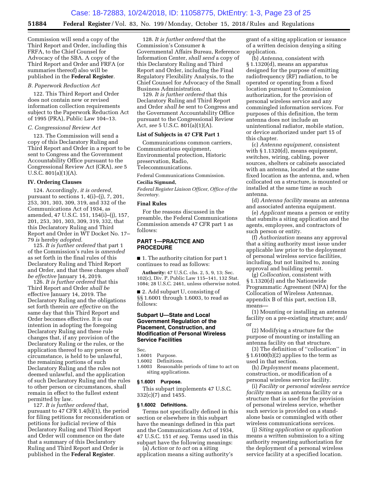Commission will send a copy of the Third Report and Order, including this FRFA, to the Chief Counsel for Advocacy of the SBA. A copy of the Third Report and Order and FRFA (or summaries thereof) also will be published in the **Federal Register**.

#### *B. Paperwork Reduction Act*

122. This Third Report and Order does not contain new or revised information collection requirements subject to the Paperwork Reduction Act of 1995 (PRA), Public Law 104–13.

#### *C. Congressional Review Act*

123. The Commission will send a copy of this Declaratory Ruling and Third Report and Order in a report to be sent to Congress and the Government Accountability Office pursuant to the Congressional Review Act (CRA), *see* 5 U.S.C. 801(a)(1)(A).

#### **IV. Ordering Clauses**

124. Accordingly, *it is ordered*, pursuant to sections 1, 4(i)–(j), 7, 201, 253, 301, 303, 309, 319, and 332 of the Communications Act of 1934, as amended, 47 U.S.C. 151, 154(i)–(j), 157, 201, 253, 301, 303, 309, 319, 332, that this Declaratory Ruling and Third Report and Order in WT Docket No. 17– 79 *is* hereby *adopted*.

125. *It is further ordered* that part 1 of the Commission's rules is *amended*  as set forth in the final rules of this Declaratory Ruling and Third Report and Order, and that these changes *shall be effective* January 14, 2019.

126. *It is further ordered* that this Third Report and Order *shall be*  effective January 14, 2019. The Declaratory Ruling and the obligations set forth therein *are effective* on the same day that this Third Report and Order becomes effective. It is our intention in adopting the foregoing Declaratory Ruling and these rule changes that, if any provision of the Declaratory Ruling or the rules, or the application thereof to any person or circumstance, is held to be unlawful, the remaining portions of such Declaratory Ruling and the rules not deemed unlawful, and the application of such Declaratory Ruling and the rules to other person or circumstances, shall remain in effect to the fullest extent permitted by law.

127. *It is further ordered* that, pursuant to 47 CFR 1.4(b)(1), the period for filing petitions for reconsideration or petitions for judicial review of this Declaratory Ruling and Third Report and Order will commence on the date that a summary of this Declaratory Ruling and Third Report and Order is published in the **Federal Register**.

128. *It is further ordered* that the Commission's Consumer & Governmental Affairs Bureau, Reference Information Center, *shall send* a copy of this Declaratory Ruling and Third Report and Order, including the Final Regulatory Flexibility Analysis, to the Chief Counsel for Advocacy of the Small Business Administration.

129. *It is further ordered* that this Declaratory Ruling and Third Report and Order *shall be* sent to Congress and the Government Accountability Office pursuant to the Congressional Review Act, *see* 5 U.S.C. 801(a)(1)(A).

#### **List of Subjects in 47 CFR Part 1**

Communications common carriers, Communications equipment, Environmental protection, Historic preservation, Radio, Telecommunications.

Federal Communications Commission.

#### **Cecilia Sigmund,**

*Federal Register Liaison Officer, Office of the Secretary.* 

#### **Final Rules**

For the reasons discussed in the preamble, the Federal Communications Commission amends 47 CFR part 1 as follows:

#### **PART 1—PRACTICE AND PROCEDURE**

■ 1. The authority citation for part 1 continues to read as follows:

**Authority:** 47 U.S.C. chs. 2, 5, 9, 13; Sec. 102(c), Div. P, Public Law 115–141, 132 Stat. 1084; 28 U.S.C. 2461, unless otherwise noted.

■ 2. Add subpart U, consisting of §§ 1.6001 through 1.6003, to read as follows:

#### **Subpart U—State and Local Government Regulation of the Placement, Construction, and Modification of Personal Wireless Service Facilities**

Sec.

- 1.6001 Purpose.
- 1.6002 Definitions.

1.6003 Reasonable periods of time to act on siting applications.

#### **§ 1.6001 Purpose.**

This subpart implements 47 U.S.C. 332(c)(7) and 1455.

#### **§ 1.6002 Definitions.**

Terms not specifically defined in this section or elsewhere in this subpart have the meanings defined in this part and the Communications Act of 1934, 47 U.S.C. 151 *et seq.* Terms used in this subpart have the following meanings:

(a) *Action* or *to act* on a siting application means a siting authority's grant of a siting application or issuance of a written decision denying a siting application.

(b) *Antenna,* consistent with § 1.1320(d), means an apparatus designed for the purpose of emitting radiofrequency (RF) radiation, to be operated or operating from a fixed location pursuant to Commission authorization, for the provision of personal wireless service and any commingled information services. For purposes of this definition, the term antenna does not include an unintentional radiator, mobile station, or device authorized under part 15 of this chapter.

(c) *Antenna equipment,* consistent with § 1.1320(d), means equipment, switches, wiring, cabling, power sources, shelters or cabinets associated with an antenna, located at the same fixed location as the antenna, and, when collocated on a structure, is mounted or installed at the same time as such antenna.

(d) *Antenna facility* means an antenna and associated antenna equipment.

(e) *Applicant* means a person or entity that submits a siting application and the agents, employees, and contractors of such person or entity.

(f) *Authorization* means any approval that a siting authority must issue under applicable law prior to the deployment of personal wireless service facilities, including, but not limited to, zoning approval and building permit.

(g) *Collocation,* consistent with § 1.1320(d) and the Nationwide Programmatic Agreement (NPA) for the Collocation of Wireless Antennas, appendix B of this part, section I.B, means—

(1) Mounting or installing an antenna facility on a pre-existing structure; and/ or

(2) Modifying a structure for the purpose of mounting or installing an antenna facility on that structure.

(3) The definition of ''collocation'' in § 1.6100(b)(2) applies to the term as used in that section.

(h) *Deployment* means placement, construction, or modification of a personal wireless service facility.

(i) *Facility* or *personal wireless service facility* means an antenna facility or a structure that is used for the provision of personal wireless service, whether such service is provided on a standalone basis or commingled with other wireless communications services.

(j) *Siting application* or *application*  means a written submission to a siting authority requesting authorization for the deployment of a personal wireless service facility at a specified location.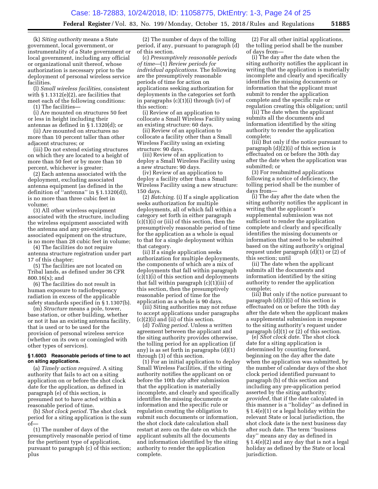(k) *Siting authority* means a State government, local government, or instrumentality of a State government or local government, including any official or organizational unit thereof, whose authorization is necessary prior to the deployment of personal wireless service facilities.

(l) *Small wireless facilities,* consistent with § 1.1312(e)(2), are facilities that meet each of the following conditions:

(1) The facilities—

(i) Are mounted on structures 50 feet or less in height including their antennas as defined in § 1.1320(d); or

(ii) Are mounted on structures no more than 10 percent taller than other adjacent structures; or

(iii) Do not extend existing structures on which they are located to a height of more than 50 feet or by more than 10 percent, whichever is greater;

(2) Each antenna associated with the deployment, excluding associated antenna equipment (as defined in the definition of ''antenna'' in § 1.1320(d)), is no more than three cubic feet in volume;

(3) All other wireless equipment associated with the structure, including the wireless equipment associated with the antenna and any pre-existing associated equipment on the structure, is no more than 28 cubic feet in volume;

(4) The facilities do not require antenna structure registration under part 17 of this chapter;

(5) The facilities are not located on Tribal lands, as defined under 36 CFR 800.16(x); and

(6) The facilities do not result in human exposure to radiofrequency radiation in excess of the applicable safety standards specified in § 1.1307(b).

(m) *Structure* means a pole, tower, base station, or other building, whether or not it has an existing antenna facility, that is used or to be used for the provision of personal wireless service (whether on its own or comingled with other types of services).

#### **§ 1.6003 Reasonable periods of time to act on siting applications.**

(a) *Timely action required.* A siting authority that fails to act on a siting application on or before the shot clock date for the application, as defined in paragraph (e) of this section, is presumed not to have acted within a reasonable period of time.

(b) *Shot clock period.* The shot clock period for a siting application is the sum of—

(1) The number of days of the presumptively reasonable period of time for the pertinent type of application, pursuant to paragraph (c) of this section; plus

(2) The number of days of the tolling period, if any, pursuant to paragraph (d) of this section.

(c) *Presumptively reasonable periods of time*—(1) *Review periods for individual applications.* The following are the presumptively reasonable periods of time for action on applications seeking authorization for deployments in the categories set forth in paragraphs (c)(1)(i) through (iv) of this section:

(i) Review of an application to collocate a Small Wireless Facility using an existing structure: 60 days.

(ii) Review of an application to collocate a facility other than a Small Wireless Facility using an existing structure: 90 days.

(iii) Review of an application to deploy a Small Wireless Facility using a new structure: 90 days.

(iv) Review of an application to deploy a facility other than a Small Wireless Facility using a new structure: 150 days.

(2) *Batching.* (i) If a single application seeks authorization for multiple deployments, all of which fall within a category set forth in either paragraph (c)(1)(i) or (iii) of this section, then the presumptively reasonable period of time for the application as a whole is equal to that for a single deployment within that category.

(ii) If a single application seeks authorization for multiple deployments, the components of which are a mix of deployments that fall within paragraph (c)(1)(i) of this section and deployments that fall within paragraph (c)(1)(iii) of this section, then the presumptively reasonable period of time for the application as a whole is 90 days.

(iii) Siting authorities may not refuse to accept applications under paragraphs (c)(2)(i) and (ii) of this section.

(d) *Tolling period.* Unless a written agreement between the applicant and the siting authority provides otherwise, the tolling period for an application (if any) is as set forth in paragraphs (d)(1) through (3) of this section.

(1) For an initial application to deploy Small Wireless Facilities, if the siting authority notifies the applicant on or before the 10th day after submission that the application is materially incomplete, and clearly and specifically identifies the missing documents or information and the specific rule or regulation creating the obligation to submit such documents or information, the shot clock date calculation shall restart at zero on the date on which the applicant submits all the documents and information identified by the siting authority to render the application complete.

(2) For all other initial applications, the tolling period shall be the number of days from—

(i) The day after the date when the siting authority notifies the applicant in writing that the application is materially incomplete and clearly and specifically identifies the missing documents or information that the applicant must submit to render the application complete and the specific rule or regulation creating this obligation; until

(ii) The date when the applicant submits all the documents and information identified by the siting authority to render the application complete;

(iii) But only if the notice pursuant to paragraph (d)(2)(i) of this section is effectuated on or before the 30th day after the date when the application was submitted; or

(3) For resubmitted applications following a notice of deficiency, the tolling period shall be the number of days from—

(i) The day after the date when the siting authority notifies the applicant in writing that the applicant's supplemental submission was not sufficient to render the application complete and clearly and specifically identifies the missing documents or information that need to be submitted based on the siting authority's original request under paragraph (d)(1) or (2) of this section; until

(ii) The date when the applicant submits all the documents and information identified by the siting authority to render the application complete;

(iii) But only if the notice pursuant to paragraph (d)(3)(i) of this section is effectuated on or before the 10th day after the date when the applicant makes a supplemental submission in response to the siting authority's request under paragraph (d)(1) or (2) of this section.

(e) *Shot clock date.* The shot clock date for a siting application is determined by counting forward, beginning on the day after the date when the application was submitted, by the number of calendar days of the shot clock period identified pursuant to paragraph (b) of this section and including any pre-application period asserted by the siting authority; *provided,* that if the date calculated in this manner is a ''holiday'' as defined in § 1.4(e)(1) or a legal holiday within the relevant State or local jurisdiction, the shot clock date is the next business day after such date. The term ''business day'' means any day as defined in § 1.4(e)(2) and any day that is not a legal holiday as defined by the State or local jurisdiction.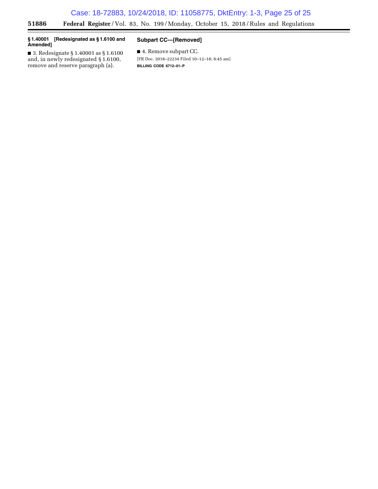#### **§ 1.40001 [Redesignated as § 1.6100 and Amended]**

 $\equiv$ 

#### **Subpart CC—[Removed]**

■ 3. Redesignate § 1.40001 as § 1.6100 and, in newly redesignated § 1.6100, remove and reserve paragraph (a).

■ 4. Remove subpart CC. [FR Doc. 2018–22234 Filed 10–12–18; 8:45 am] **BILLING CODE 6712–01–P**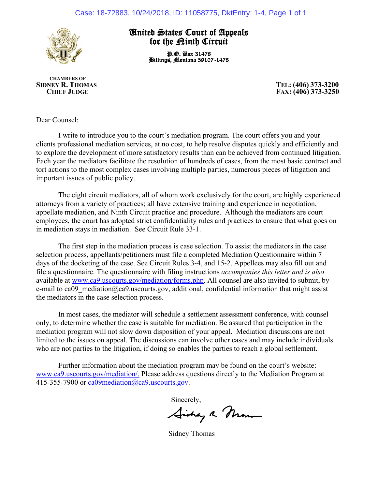

### United States Court of Appeals for the Kinth Circuit

P.O. Box 31478 Billings, Montana 59107-1478

 **CHAMBERS OF SIDNEY R. THOMAS TEL: (406) 373-3200 CHIEF JUDGE FAX: (406) 373-3250**

Dear Counsel:

I write to introduce you to the court's mediation program. The court offers you and your clients professional mediation services, at no cost, to help resolve disputes quickly and efficiently and to explore the development of more satisfactory results than can be achieved from continued litigation. Each year the mediators facilitate the resolution of hundreds of cases, from the most basic contract and tort actions to the most complex cases involving multiple parties, numerous pieces of litigation and important issues of public policy.

The eight circuit mediators, all of whom work exclusively for the court, are highly experienced attorneys from a variety of practices; all have extensive training and experience in negotiation, appellate mediation, and Ninth Circuit practice and procedure. Although the mediators are court employees, the court has adopted strict confidentiality rules and practices to ensure that what goes on in mediation stays in mediation. See Circuit Rule 33-1.

The first step in the mediation process is case selection. To assist the mediators in the case selection process, appellants/petitioners must file a completed Mediation Questionnaire within 7 days of the docketing of the case. See Circuit Rules 3-4, and 15-2. Appellees may also fill out and file a questionnaire. The questionnaire with filing instructions *accompanies this letter and is also* available at www.ca9.uscourts.gov/mediation/forms.php. All counsel are also invited to submit, by e-mail to ca09 mediation@ca9.uscourts.gov, additional, confidential information that might assist the mediators in the case selection process.

In most cases, the mediator will schedule a settlement assessment conference, with counsel only, to determine whether the case is suitable for mediation. Be assured that participation in the mediation program will not slow down disposition of your appeal. Mediation discussions are not limited to the issues on appeal. The discussions can involve other cases and may include individuals who are not parties to the litigation, if doing so enables the parties to reach a global settlement.

Further information about the mediation program may be found on the court's website: www.ca9.uscourts.gov/mediation/. Please address questions directly to the Mediation Program at 415-355-7900 or ca09mediation@ca9.uscourts.gov.

Sincerely,<br>Aishay a Momme

Sidney Thomas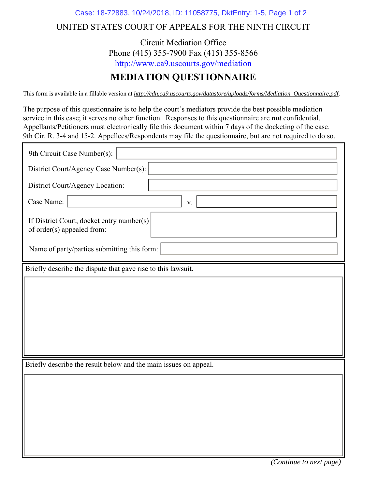### Case: 18-72883, 10/24/2018, ID: 11058775, DktEntry: 1-5, Page 1 of 2

# UNITED STATES COURT OF APPEALS FOR THE NINTH CIRCUIT

Circuit Mediation Office Phone (415) 355-7900 Fax (415) 355-8566 http://www.ca9.uscourts.gov/mediation

# **MEDIATION QUESTIONNAIRE**

This form is available in a fillable version at *http://cdn.ca9.uscourts.gov/datastore/uploads/forms/Mediation\_Questionnaire.pdf .*

The purpose of this questionnaire is to help the court's mediators provide the best possible mediation service in this case; it serves no other function. Responses to this questionnaire are *not* confidential. Appellants/Petitioners must electronically file this document within 7 days of the docketing of the case. 9th Cir. R. 3-4 and 15-2. Appellees/Respondents may file the questionnaire, but are not required to do so.

| 9th Circuit Case Number(s):                                             |  |  |
|-------------------------------------------------------------------------|--|--|
| District Court/Agency Case Number(s):                                   |  |  |
| District Court/Agency Location:                                         |  |  |
| Case Name:<br>$\mathbf V$ .                                             |  |  |
| If District Court, docket entry number(s)<br>of order(s) appealed from: |  |  |
| Name of party/parties submitting this form:                             |  |  |
| Briefly describe the dispute that gave rise to this lawsuit.            |  |  |
|                                                                         |  |  |
|                                                                         |  |  |
|                                                                         |  |  |
|                                                                         |  |  |
|                                                                         |  |  |
| Briefly describe the result below and the main issues on appeal.        |  |  |
|                                                                         |  |  |
|                                                                         |  |  |
|                                                                         |  |  |
|                                                                         |  |  |
|                                                                         |  |  |
|                                                                         |  |  |